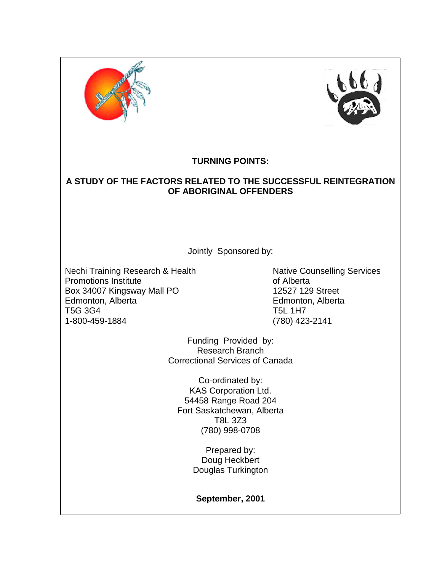



## **TURNING POINTS:**

## **A STUDY OF THE FACTORS RELATED TO THE SUCCESSFUL REINTEGRATION OF ABORIGINAL OFFENDERS**

Jointly Sponsored by:

Nechi Training Research & Health Nechi Training Services Promotions Institute **Contract Contract Contract Contract Contract Contract Contract Contract Contract Contract Contract Contract Contract Contract Contract Contract Contract Contract Contract Contract Contract Contract Co** Box 34007 Kingsway Mall PO 12527 129 Street Edmonton, Alberta Edmonton, Alberta T5G 3G4 T5L 1H7 1-800-459-1884 (780) 423-2141

Funding Provided by: Research Branch Correctional Services of Canada

Co-ordinated by: KAS Corporation Ltd. 54458 Range Road 204 Fort Saskatchewan, Alberta T8L 3Z3 (780) 998-0708

> Prepared by: Doug Heckbert Douglas Turkington

**September, 2001**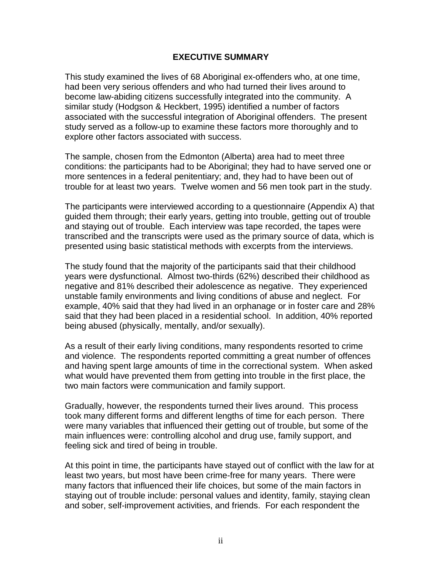#### **EXECUTIVE SUMMARY**

<span id="page-1-0"></span>This study examined the lives of 68 Aboriginal ex-offenders who, at one time, had been very serious offenders and who had turned their lives around to become law-abiding citizens successfully integrated into the community. A similar study (Hodgson & Heckbert, 1995) identified a number of factors associated with the successful integration of Aboriginal offenders. The present study served as a follow-up to examine these factors more thoroughly and to explore other factors associated with success.

The sample, chosen from the Edmonton (Alberta) area had to meet three conditions: the participants had to be Aboriginal; they had to have served one or more sentences in a federal penitentiary; and, they had to have been out of trouble for at least two years. Twelve women and 56 men took part in the study.

The participants were interviewed according to a questionnaire (Appendix A) that guided them through; their early years, getting into trouble, getting out of trouble and staying out of trouble. Each interview was tape recorded, the tapes were transcribed and the transcripts were used as the primary source of data, which is presented using basic statistical methods with excerpts from the interviews.

The study found that the majority of the participants said that their childhood years were dysfunctional. Almost two-thirds (62%) described their childhood as negative and 81% described their adolescence as negative. They experienced unstable family environments and living conditions of abuse and neglect. For example, 40% said that they had lived in an orphanage or in foster care and 28% said that they had been placed in a residential school. In addition, 40% reported being abused (physically, mentally, and/or sexually).

As a result of their early living conditions, many respondents resorted to crime and violence. The respondents reported committing a great number of offences and having spent large amounts of time in the correctional system. When asked what would have prevented them from getting into trouble in the first place, the two main factors were communication and family support.

Gradually, however, the respondents turned their lives around. This process took many different forms and different lengths of time for each person. There were many variables that influenced their getting out of trouble, but some of the main influences were: controlling alcohol and drug use, family support, and feeling sick and tired of being in trouble.

At this point in time, the participants have stayed out of conflict with the law for at least two years, but most have been crime-free for many years. There were many factors that influenced their life choices, but some of the main factors in staying out of trouble include: personal values and identity, family, staying clean and sober, self-improvement activities, and friends. For each respondent the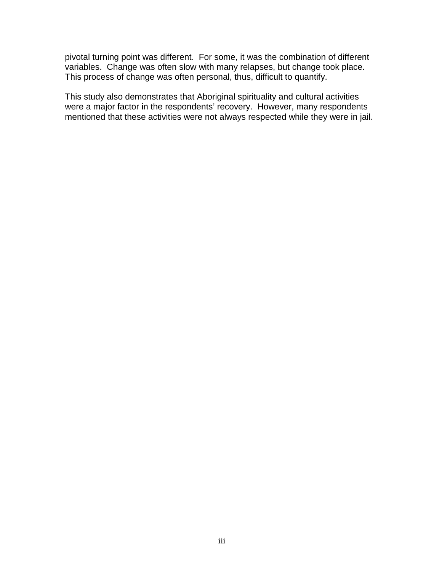pivotal turning point was different. For some, it was the combination of different variables. Change was often slow with many relapses, but change took place. This process of change was often personal, thus, difficult to quantify.

This study also demonstrates that Aboriginal spirituality and cultural activities were a major factor in the respondents' recovery. However, many respondents mentioned that these activities were not always respected while they were in jail.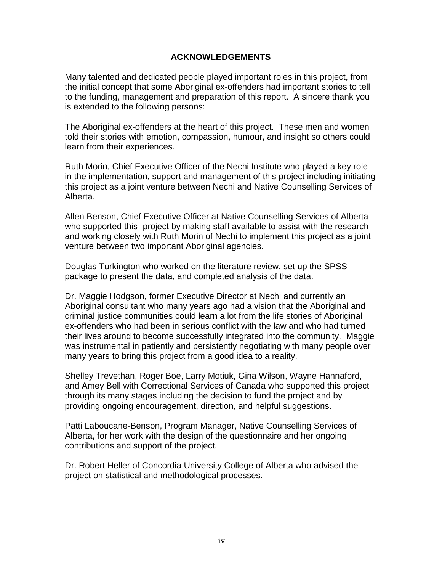#### **ACKNOWLEDGEMENTS**

<span id="page-3-0"></span>Many talented and dedicated people played important roles in this project, from the initial concept that some Aboriginal ex-offenders had important stories to tell to the funding, management and preparation of this report. A sincere thank you is extended to the following persons:

The Aboriginal ex-offenders at the heart of this project. These men and women told their stories with emotion, compassion, humour, and insight so others could learn from their experiences.

Ruth Morin, Chief Executive Officer of the Nechi Institute who played a key role in the implementation, support and management of this project including initiating this project as a joint venture between Nechi and Native Counselling Services of Alberta.

Allen Benson, Chief Executive Officer at Native Counselling Services of Alberta who supported this project by making staff available to assist with the research and working closely with Ruth Morin of Nechi to implement this project as a joint venture between two important Aboriginal agencies.

Douglas Turkington who worked on the literature review, set up the SPSS package to present the data, and completed analysis of the data.

Dr. Maggie Hodgson, former Executive Director at Nechi and currently an Aboriginal consultant who many years ago had a vision that the Aboriginal and criminal justice communities could learn a lot from the life stories of Aboriginal ex-offenders who had been in serious conflict with the law and who had turned their lives around to become successfully integrated into the community. Maggie was instrumental in patiently and persistently negotiating with many people over many years to bring this project from a good idea to a reality.

Shelley Trevethan, Roger Boe, Larry Motiuk, Gina Wilson, Wayne Hannaford, and Amey Bell with Correctional Services of Canada who supported this project through its many stages including the decision to fund the project and by providing ongoing encouragement, direction, and helpful suggestions.

Patti Laboucane-Benson, Program Manager, Native Counselling Services of Alberta, for her work with the design of the questionnaire and her ongoing contributions and support of the project.

Dr. Robert Heller of Concordia University College of Alberta who advised the project on statistical and methodological processes.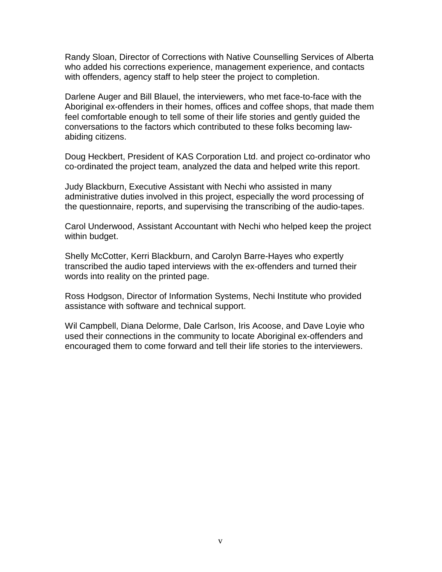Randy Sloan, Director of Corrections with Native Counselling Services of Alberta who added his corrections experience, management experience, and contacts with offenders, agency staff to help steer the project to completion.

Darlene Auger and Bill Blauel, the interviewers, who met face-to-face with the Aboriginal ex-offenders in their homes, offices and coffee shops, that made them feel comfortable enough to tell some of their life stories and gently guided the conversations to the factors which contributed to these folks becoming lawabiding citizens.

Doug Heckbert, President of KAS Corporation Ltd. and project co-ordinator who co-ordinated the project team, analyzed the data and helped write this report.

Judy Blackburn, Executive Assistant with Nechi who assisted in many administrative duties involved in this project, especially the word processing of the questionnaire, reports, and supervising the transcribing of the audio-tapes.

Carol Underwood, Assistant Accountant with Nechi who helped keep the project within budget.

Shelly McCotter, Kerri Blackburn, and Carolyn Barre-Hayes who expertly transcribed the audio taped interviews with the ex-offenders and turned their words into reality on the printed page.

Ross Hodgson, Director of Information Systems, Nechi Institute who provided assistance with software and technical support.

Wil Campbell, Diana Delorme, Dale Carlson, Iris Acoose, and Dave Loyie who used their connections in the community to locate Aboriginal ex-offenders and encouraged them to come forward and tell their life stories to the interviewers.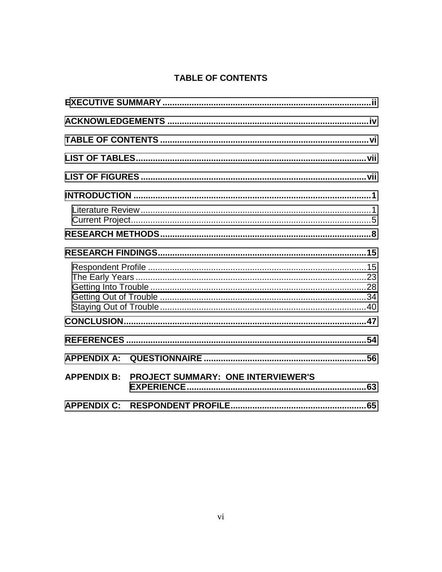# TABLE OF CONTENTS

| <b>APPENDIX B:</b> | <b>PROJECT SUMMARY: ONE INTERVIEWER'S</b> |  |
|--------------------|-------------------------------------------|--|
|                    |                                           |  |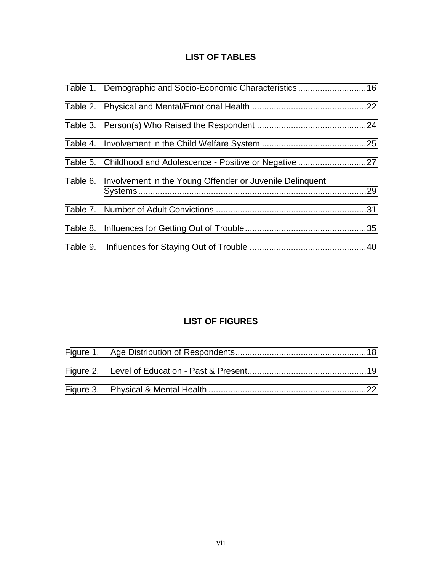## **LIST OF TABLES**

<span id="page-6-0"></span>

| Table 1. Demographic and Socio-Economic Characteristics16         |  |
|-------------------------------------------------------------------|--|
|                                                                   |  |
|                                                                   |  |
|                                                                   |  |
| Table 5. Childhood and Adolescence - Positive or Negative 27      |  |
| Table 6. Involvement in the Young Offender or Juvenile Delinquent |  |
|                                                                   |  |
|                                                                   |  |
|                                                                   |  |

# **LIST OF FIGURES**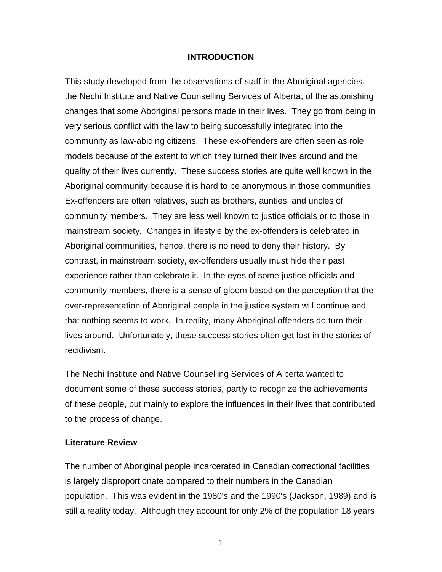#### **INTRODUCTION**

<span id="page-7-0"></span>This study developed from the observations of staff in the Aboriginal agencies, the Nechi Institute and Native Counselling Services of Alberta, of the astonishing changes that some Aboriginal persons made in their lives. They go from being in very serious conflict with the law to being successfully integrated into the community as law-abiding citizens. These ex-offenders are often seen as role models because of the extent to which they turned their lives around and the quality of their lives currently. These success stories are quite well known in the Aboriginal community because it is hard to be anonymous in those communities. Ex-offenders are often relatives, such as brothers, aunties, and uncles of community members. They are less well known to justice officials or to those in mainstream society. Changes in lifestyle by the ex-offenders is celebrated in Aboriginal communities, hence, there is no need to deny their history. By contrast, in mainstream society, ex-offenders usually must hide their past experience rather than celebrate it. In the eyes of some justice officials and community members, there is a sense of gloom based on the perception that the over-representation of Aboriginal people in the justice system will continue and that nothing seems to work. In reality, many Aboriginal offenders do turn their lives around. Unfortunately, these success stories often get lost in the stories of recidivism.

The Nechi Institute and Native Counselling Services of Alberta wanted to document some of these success stories, partly to recognize the achievements of these people, but mainly to explore the influences in their lives that contributed to the process of change.

#### **Literature Review**

The number of Aboriginal people incarcerated in Canadian correctional facilities is largely disproportionate compared to their numbers in the Canadian population. This was evident in the 1980's and the 1990's (Jackson, 1989) and is still a reality today. Although they account for only 2% of the population 18 years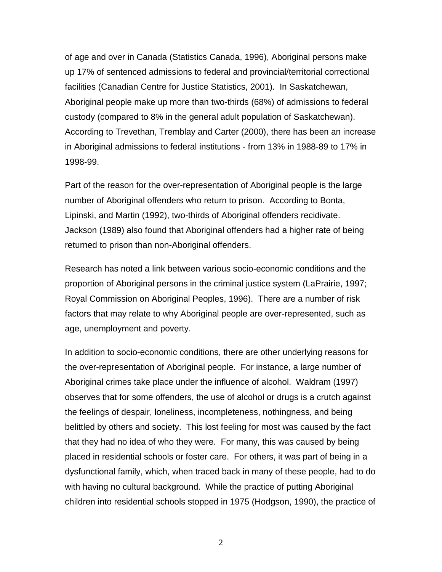of age and over in Canada (Statistics Canada, 1996), Aboriginal persons make up 17% of sentenced admissions to federal and provincial/territorial correctional facilities (Canadian Centre for Justice Statistics, 2001). In Saskatchewan, Aboriginal people make up more than two-thirds (68%) of admissions to federal custody (compared to 8% in the general adult population of Saskatchewan). According to Trevethan, Tremblay and Carter (2000), there has been an increase in Aboriginal admissions to federal institutions - from 13% in 1988-89 to 17% in 1998-99.

Part of the reason for the over-representation of Aboriginal people is the large number of Aboriginal offenders who return to prison. According to Bonta, Lipinski, and Martin (1992), two-thirds of Aboriginal offenders recidivate. Jackson (1989) also found that Aboriginal offenders had a higher rate of being returned to prison than non-Aboriginal offenders.

Research has noted a link between various socio-economic conditions and the proportion of Aboriginal persons in the criminal justice system (LaPrairie, 1997; Royal Commission on Aboriginal Peoples, 1996). There are a number of risk factors that may relate to why Aboriginal people are over-represented, such as age, unemployment and poverty.

In addition to socio-economic conditions, there are other underlying reasons for the over-representation of Aboriginal people. For instance, a large number of Aboriginal crimes take place under the influence of alcohol. Waldram (1997) observes that for some offenders, the use of alcohol or drugs is a crutch against the feelings of despair, loneliness, incompleteness, nothingness, and being belittled by others and society. This lost feeling for most was caused by the fact that they had no idea of who they were. For many, this was caused by being placed in residential schools or foster care. For others, it was part of being in a dysfunctional family, which, when traced back in many of these people, had to do with having no cultural background. While the practice of putting Aboriginal children into residential schools stopped in 1975 (Hodgson, 1990), the practice of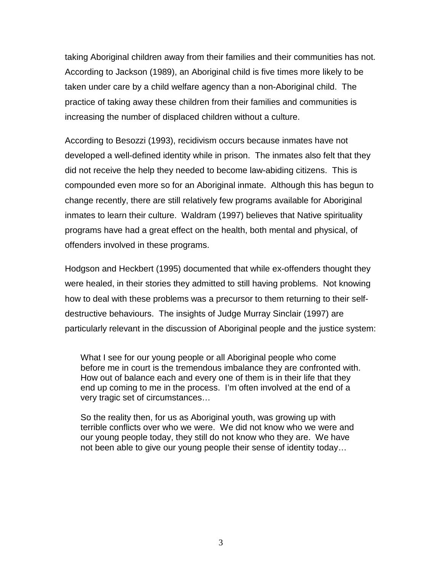taking Aboriginal children away from their families and their communities has not. According to Jackson (1989), an Aboriginal child is five times more likely to be taken under care by a child welfare agency than a non-Aboriginal child. The practice of taking away these children from their families and communities is increasing the number of displaced children without a culture.

According to Besozzi (1993), recidivism occurs because inmates have not developed a well-defined identity while in prison. The inmates also felt that they did not receive the help they needed to become law-abiding citizens. This is compounded even more so for an Aboriginal inmate. Although this has begun to change recently, there are still relatively few programs available for Aboriginal inmates to learn their culture. Waldram (1997) believes that Native spirituality programs have had a great effect on the health, both mental and physical, of offenders involved in these programs.

Hodgson and Heckbert (1995) documented that while ex-offenders thought they were healed, in their stories they admitted to still having problems. Not knowing how to deal with these problems was a precursor to them returning to their selfdestructive behaviours. The insights of Judge Murray Sinclair (1997) are particularly relevant in the discussion of Aboriginal people and the justice system:

What I see for our young people or all Aboriginal people who come before me in court is the tremendous imbalance they are confronted with. How out of balance each and every one of them is in their life that they end up coming to me in the process. I'm often involved at the end of a very tragic set of circumstances…

So the reality then, for us as Aboriginal youth, was growing up with terrible conflicts over who we were. We did not know who we were and our young people today, they still do not know who they are. We have not been able to give our young people their sense of identity today…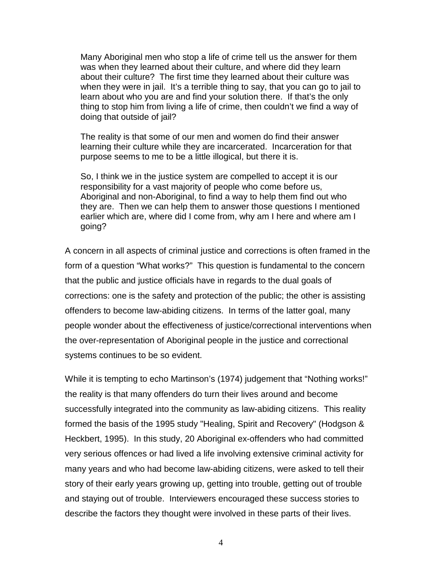Many Aboriginal men who stop a life of crime tell us the answer for them was when they learned about their culture, and where did they learn about their culture? The first time they learned about their culture was when they were in jail. It's a terrible thing to say, that you can go to jail to learn about who you are and find your solution there. If that's the only thing to stop him from living a life of crime, then couldn't we find a way of doing that outside of jail?

The reality is that some of our men and women do find their answer learning their culture while they are incarcerated. Incarceration for that purpose seems to me to be a little illogical, but there it is.

So, I think we in the justice system are compelled to accept it is our responsibility for a vast majority of people who come before us, Aboriginal and non-Aboriginal, to find a way to help them find out who they are. Then we can help them to answer those questions I mentioned earlier which are, where did I come from, why am I here and where am I going?

A concern in all aspects of criminal justice and corrections is often framed in the form of a question "What works?" This question is fundamental to the concern that the public and justice officials have in regards to the dual goals of corrections: one is the safety and protection of the public; the other is assisting offenders to become law-abiding citizens. In terms of the latter goal, many people wonder about the effectiveness of justice/correctional interventions when the over-representation of Aboriginal people in the justice and correctional systems continues to be so evident.

While it is tempting to echo Martinson's (1974) judgement that "Nothing works!" the reality is that many offenders do turn their lives around and become successfully integrated into the community as law-abiding citizens. This reality formed the basis of the 1995 study "Healing, Spirit and Recovery" (Hodgson & Heckbert, 1995). In this study, 20 Aboriginal ex-offenders who had committed very serious offences or had lived a life involving extensive criminal activity for many years and who had become law-abiding citizens, were asked to tell their story of their early years growing up, getting into trouble, getting out of trouble and staying out of trouble. Interviewers encouraged these success stories to describe the factors they thought were involved in these parts of their lives.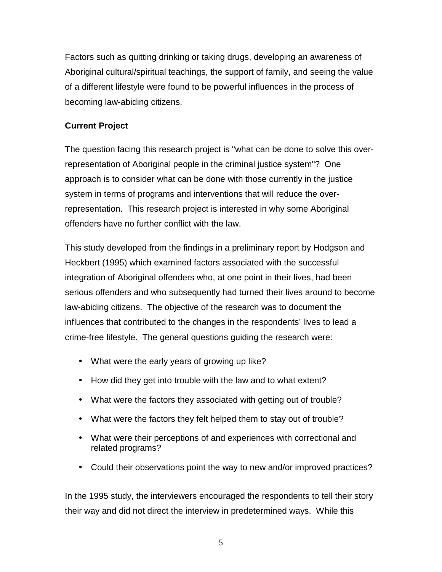<span id="page-11-0"></span>Factors such as quitting drinking or taking drugs, developing an awareness of Aboriginal cultural/spiritual teachings, the support of family, and seeing the value of a different lifestyle were found to be powerful influences in the process of becoming law-abiding citizens.

## **Current Project**

The question facing this research project is "what can be done to solve this overrepresentation of Aboriginal people in the criminal justice system"? One approach is to consider what can be done with those currently in the justice system in terms of programs and interventions that will reduce the overrepresentation. This research project is interested in why some Aboriginal offenders have no further conflict with the law.

This study developed from the findings in a preliminary report by Hodgson and Heckbert (1995) which examined factors associated with the successful integration of Aboriginal offenders who, at one point in their lives, had been serious offenders and who subsequently had turned their lives around to become law-abiding citizens. The objective of the research was to document the influences that contributed to the changes in the respondents' lives to lead a crime-free lifestyle. The general questions guiding the research were:

- What were the early years of growing up like?
- How did they get into trouble with the law and to what extent?
- What were the factors they associated with getting out of trouble?
- What were the factors they felt helped them to stay out of trouble?
- What were their perceptions of and experiences with correctional and related programs?
- Could their observations point the way to new and/or improved practices?

In the 1995 study, the interviewers encouraged the respondents to tell their story their way and did not direct the interview in predetermined ways. While this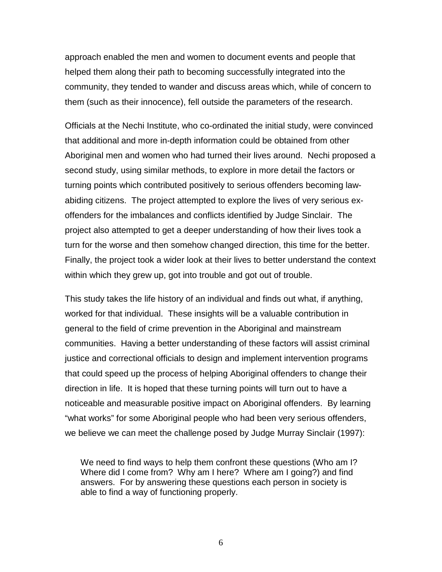approach enabled the men and women to document events and people that helped them along their path to becoming successfully integrated into the community, they tended to wander and discuss areas which, while of concern to them (such as their innocence), fell outside the parameters of the research.

Officials at the Nechi Institute, who co-ordinated the initial study, were convinced that additional and more in-depth information could be obtained from other Aboriginal men and women who had turned their lives around. Nechi proposed a second study, using similar methods, to explore in more detail the factors or turning points which contributed positively to serious offenders becoming lawabiding citizens. The project attempted to explore the lives of very serious exoffenders for the imbalances and conflicts identified by Judge Sinclair. The project also attempted to get a deeper understanding of how their lives took a turn for the worse and then somehow changed direction, this time for the better. Finally, the project took a wider look at their lives to better understand the context within which they grew up, got into trouble and got out of trouble.

This study takes the life history of an individual and finds out what, if anything, worked for that individual. These insights will be a valuable contribution in general to the field of crime prevention in the Aboriginal and mainstream communities. Having a better understanding of these factors will assist criminal justice and correctional officials to design and implement intervention programs that could speed up the process of helping Aboriginal offenders to change their direction in life. It is hoped that these turning points will turn out to have a noticeable and measurable positive impact on Aboriginal offenders. By learning "what works" for some Aboriginal people who had been very serious offenders, we believe we can meet the challenge posed by Judge Murray Sinclair (1997):

We need to find ways to help them confront these questions (Who am I? Where did I come from? Why am I here? Where am I going?) and find answers. For by answering these questions each person in society is able to find a way of functioning properly.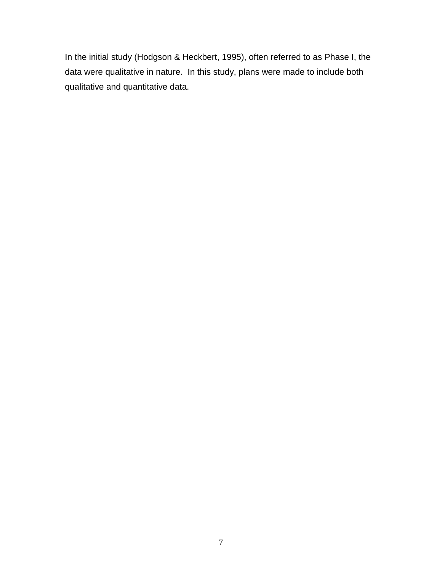In the initial study (Hodgson & Heckbert, 1995), often referred to as Phase I, the data were qualitative in nature. In this study, plans were made to include both qualitative and quantitative data.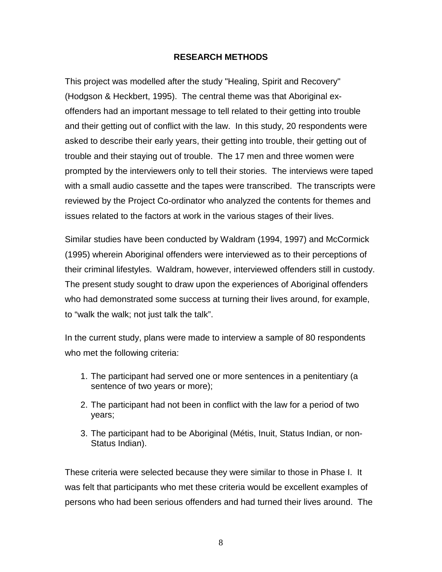#### **RESEARCH METHODS**

<span id="page-14-0"></span>This project was modelled after the study "Healing, Spirit and Recovery" (Hodgson & Heckbert, 1995). The central theme was that Aboriginal exoffenders had an important message to tell related to their getting into trouble and their getting out of conflict with the law. In this study, 20 respondents were asked to describe their early years, their getting into trouble, their getting out of trouble and their staying out of trouble. The 17 men and three women were prompted by the interviewers only to tell their stories. The interviews were taped with a small audio cassette and the tapes were transcribed. The transcripts were reviewed by the Project Co-ordinator who analyzed the contents for themes and issues related to the factors at work in the various stages of their lives.

Similar studies have been conducted by Waldram (1994, 1997) and McCormick (1995) wherein Aboriginal offenders were interviewed as to their perceptions of their criminal lifestyles. Waldram, however, interviewed offenders still in custody. The present study sought to draw upon the experiences of Aboriginal offenders who had demonstrated some success at turning their lives around, for example, to "walk the walk; not just talk the talk".

In the current study, plans were made to interview a sample of 80 respondents who met the following criteria:

- 1. The participant had served one or more sentences in a penitentiary (a sentence of two years or more);
- 2. The participant had not been in conflict with the law for a period of two years;
- 3. The participant had to be Aboriginal (Métis, Inuit, Status Indian, or non-Status Indian).

These criteria were selected because they were similar to those in Phase I. It was felt that participants who met these criteria would be excellent examples of persons who had been serious offenders and had turned their lives around. The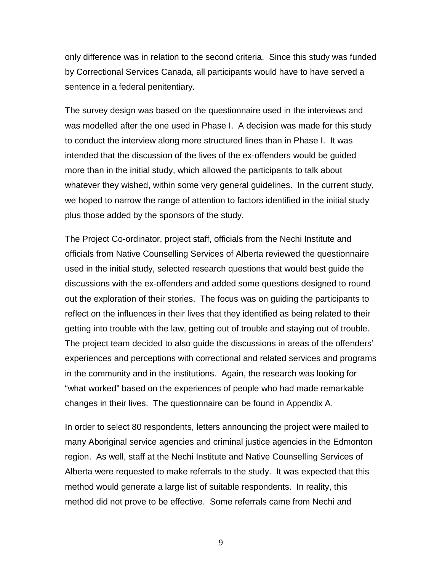only difference was in relation to the second criteria. Since this study was funded by Correctional Services Canada, all participants would have to have served a sentence in a federal penitentiary.

The survey design was based on the questionnaire used in the interviews and was modelled after the one used in Phase I. A decision was made for this study to conduct the interview along more structured lines than in Phase I. It was intended that the discussion of the lives of the ex-offenders would be guided more than in the initial study, which allowed the participants to talk about whatever they wished, within some very general guidelines. In the current study, we hoped to narrow the range of attention to factors identified in the initial study plus those added by the sponsors of the study.

The Project Co-ordinator, project staff, officials from the Nechi Institute and officials from Native Counselling Services of Alberta reviewed the questionnaire used in the initial study, selected research questions that would best guide the discussions with the ex-offenders and added some questions designed to round out the exploration of their stories. The focus was on guiding the participants to reflect on the influences in their lives that they identified as being related to their getting into trouble with the law, getting out of trouble and staying out of trouble. The project team decided to also guide the discussions in areas of the offenders' experiences and perceptions with correctional and related services and programs in the community and in the institutions. Again, the research was looking for "what worked" based on the experiences of people who had made remarkable changes in their lives. The questionnaire can be found in Appendix A.

In order to select 80 respondents, letters announcing the project were mailed to many Aboriginal service agencies and criminal justice agencies in the Edmonton region. As well, staff at the Nechi Institute and Native Counselling Services of Alberta were requested to make referrals to the study. It was expected that this method would generate a large list of suitable respondents. In reality, this method did not prove to be effective. Some referrals came from Nechi and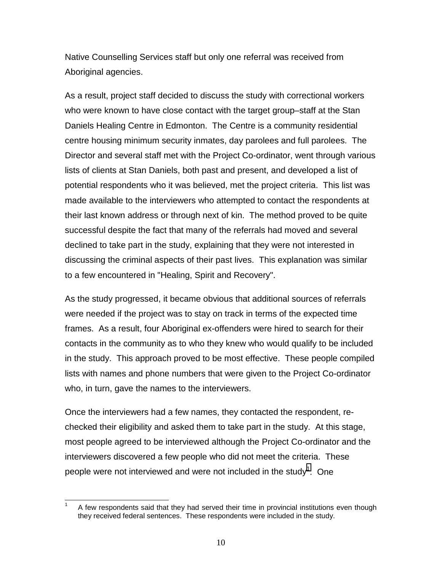Native Counselling Services staff but only one referral was received from Aboriginal agencies.

As a result, project staff decided to discuss the study with correctional workers who were known to have close contact with the target group–staff at the Stan Daniels Healing Centre in Edmonton. The Centre is a community residential centre housing minimum security inmates, day parolees and full parolees. The Director and several staff met with the Project Co-ordinator, went through various lists of clients at Stan Daniels, both past and present, and developed a list of potential respondents who it was believed, met the project criteria. This list was made available to the interviewers who attempted to contact the respondents at their last known address or through next of kin. The method proved to be quite successful despite the fact that many of the referrals had moved and several declined to take part in the study, explaining that they were not interested in discussing the criminal aspects of their past lives. This explanation was similar to a few encountered in "Healing, Spirit and Recovery".

As the study progressed, it became obvious that additional sources of referrals were needed if the project was to stay on track in terms of the expected time frames. As a result, four Aboriginal ex-offenders were hired to search for their contacts in the community as to who they knew who would qualify to be included in the study. This approach proved to be most effective. These people compiled lists with names and phone numbers that were given to the Project Co-ordinator who, in turn, gave the names to the interviewers.

Once the interviewers had a few names, they contacted the respondent, rechecked their eligibility and asked them to take part in the study. At this stage, most people agreed to be interviewed although the Project Co-ordinator and the interviewers discovered a few people who did not meet the criteria. These people were not interviewed and were not included in the study<sup>1</sup>. One

 $\overline{\phantom{a}}$ 1 A few respondents said that they had served their time in provincial institutions even though they received federal sentences. These respondents were included in the study.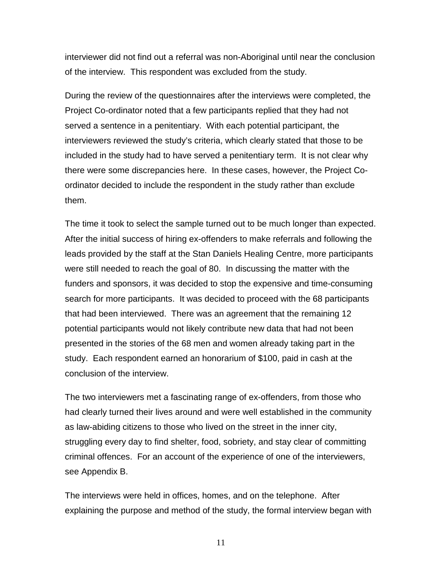interviewer did not find out a referral was non-Aboriginal until near the conclusion of the interview. This respondent was excluded from the study.

During the review of the questionnaires after the interviews were completed, the Project Co-ordinator noted that a few participants replied that they had not served a sentence in a penitentiary. With each potential participant, the interviewers reviewed the study's criteria, which clearly stated that those to be included in the study had to have served a penitentiary term. It is not clear why there were some discrepancies here. In these cases, however, the Project Coordinator decided to include the respondent in the study rather than exclude them.

The time it took to select the sample turned out to be much longer than expected. After the initial success of hiring ex-offenders to make referrals and following the leads provided by the staff at the Stan Daniels Healing Centre, more participants were still needed to reach the goal of 80. In discussing the matter with the funders and sponsors, it was decided to stop the expensive and time-consuming search for more participants. It was decided to proceed with the 68 participants that had been interviewed. There was an agreement that the remaining 12 potential participants would not likely contribute new data that had not been presented in the stories of the 68 men and women already taking part in the study. Each respondent earned an honorarium of \$100, paid in cash at the conclusion of the interview.

The two interviewers met a fascinating range of ex-offenders, from those who had clearly turned their lives around and were well established in the community as law-abiding citizens to those who lived on the street in the inner city, struggling every day to find shelter, food, sobriety, and stay clear of committing criminal offences. For an account of the experience of one of the interviewers, see Appendix B.

The interviews were held in offices, homes, and on the telephone. After explaining the purpose and method of the study, the formal interview began with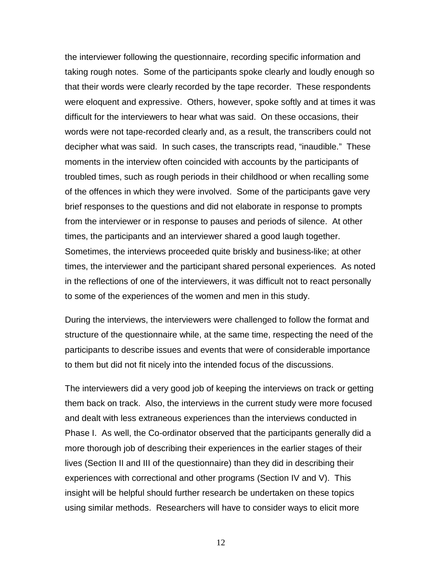the interviewer following the questionnaire, recording specific information and taking rough notes. Some of the participants spoke clearly and loudly enough so that their words were clearly recorded by the tape recorder. These respondents were eloquent and expressive. Others, however, spoke softly and at times it was difficult for the interviewers to hear what was said. On these occasions, their words were not tape-recorded clearly and, as a result, the transcribers could not decipher what was said. In such cases, the transcripts read, "inaudible." These moments in the interview often coincided with accounts by the participants of troubled times, such as rough periods in their childhood or when recalling some of the offences in which they were involved. Some of the participants gave very brief responses to the questions and did not elaborate in response to prompts from the interviewer or in response to pauses and periods of silence. At other times, the participants and an interviewer shared a good laugh together. Sometimes, the interviews proceeded quite briskly and business-like; at other times, the interviewer and the participant shared personal experiences. As noted in the reflections of one of the interviewers, it was difficult not to react personally to some of the experiences of the women and men in this study.

During the interviews, the interviewers were challenged to follow the format and structure of the questionnaire while, at the same time, respecting the need of the participants to describe issues and events that were of considerable importance to them but did not fit nicely into the intended focus of the discussions.

The interviewers did a very good job of keeping the interviews on track or getting them back on track. Also, the interviews in the current study were more focused and dealt with less extraneous experiences than the interviews conducted in Phase I. As well, the Co-ordinator observed that the participants generally did a more thorough job of describing their experiences in the earlier stages of their lives (Section II and III of the questionnaire) than they did in describing their experiences with correctional and other programs (Section IV and V). This insight will be helpful should further research be undertaken on these topics using similar methods. Researchers will have to consider ways to elicit more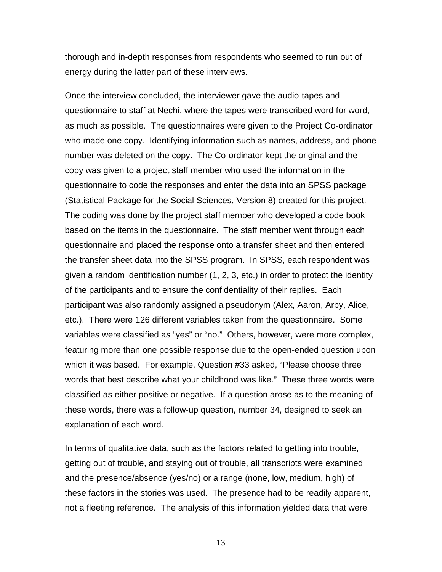thorough and in-depth responses from respondents who seemed to run out of energy during the latter part of these interviews.

Once the interview concluded, the interviewer gave the audio-tapes and questionnaire to staff at Nechi, where the tapes were transcribed word for word, as much as possible. The questionnaires were given to the Project Co-ordinator who made one copy. Identifying information such as names, address, and phone number was deleted on the copy. The Co-ordinator kept the original and the copy was given to a project staff member who used the information in the questionnaire to code the responses and enter the data into an SPSS package (Statistical Package for the Social Sciences, Version 8) created for this project. The coding was done by the project staff member who developed a code book based on the items in the questionnaire. The staff member went through each questionnaire and placed the response onto a transfer sheet and then entered the transfer sheet data into the SPSS program. In SPSS, each respondent was given a random identification number (1, 2, 3, etc.) in order to protect the identity of the participants and to ensure the confidentiality of their replies. Each participant was also randomly assigned a pseudonym (Alex, Aaron, Arby, Alice, etc.). There were 126 different variables taken from the questionnaire. Some variables were classified as "yes" or "no." Others, however, were more complex, featuring more than one possible response due to the open-ended question upon which it was based. For example, Question #33 asked, "Please choose three words that best describe what your childhood was like." These three words were classified as either positive or negative. If a question arose as to the meaning of these words, there was a follow-up question, number 34, designed to seek an explanation of each word.

In terms of qualitative data, such as the factors related to getting into trouble, getting out of trouble, and staying out of trouble, all transcripts were examined and the presence/absence (yes/no) or a range (none, low, medium, high) of these factors in the stories was used. The presence had to be readily apparent, not a fleeting reference. The analysis of this information yielded data that were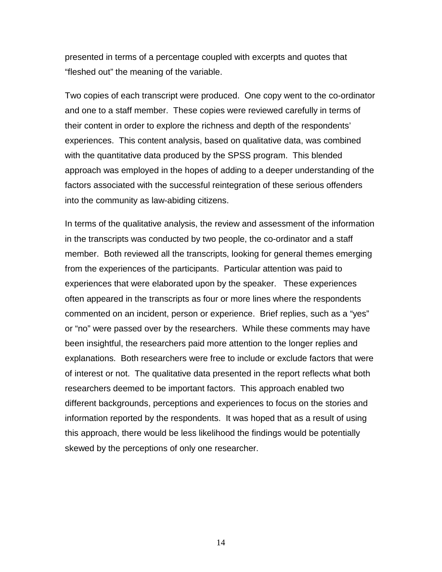presented in terms of a percentage coupled with excerpts and quotes that "fleshed out" the meaning of the variable.

Two copies of each transcript were produced. One copy went to the co-ordinator and one to a staff member. These copies were reviewed carefully in terms of their content in order to explore the richness and depth of the respondents' experiences. This content analysis, based on qualitative data, was combined with the quantitative data produced by the SPSS program. This blended approach was employed in the hopes of adding to a deeper understanding of the factors associated with the successful reintegration of these serious offenders into the community as law-abiding citizens.

In terms of the qualitative analysis, the review and assessment of the information in the transcripts was conducted by two people, the co-ordinator and a staff member. Both reviewed all the transcripts, looking for general themes emerging from the experiences of the participants. Particular attention was paid to experiences that were elaborated upon by the speaker. These experiences often appeared in the transcripts as four or more lines where the respondents commented on an incident, person or experience. Brief replies, such as a "yes" or "no" were passed over by the researchers. While these comments may have been insightful, the researchers paid more attention to the longer replies and explanations. Both researchers were free to include or exclude factors that were of interest or not. The qualitative data presented in the report reflects what both researchers deemed to be important factors. This approach enabled two different backgrounds, perceptions and experiences to focus on the stories and information reported by the respondents. It was hoped that as a result of using this approach, there would be less likelihood the findings would be potentially skewed by the perceptions of only one researcher.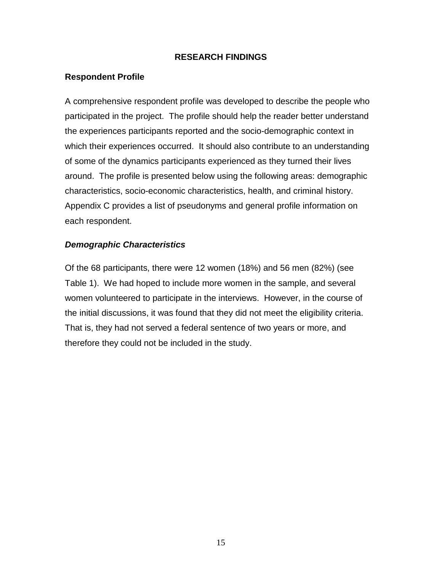#### **RESEARCH FINDINGS**

#### <span id="page-21-0"></span>**Respondent Profile**

A comprehensive respondent profile was developed to describe the people who participated in the project. The profile should help the reader better understand the experiences participants reported and the socio-demographic context in which their experiences occurred. It should also contribute to an understanding of some of the dynamics participants experienced as they turned their lives around. The profile is presented below using the following areas: demographic characteristics, socio-economic characteristics, health, and criminal history. Appendix C provides a list of pseudonyms and general profile information on each respondent.

#### *Demographic Characteristics*

Of the 68 participants, there were 12 women (18%) and 56 men (82%) (see Table 1). We had hoped to include more women in the sample, and several women volunteered to participate in the interviews. However, in the course of the initial discussions, it was found that they did not meet the eligibility criteria. That is, they had not served a federal sentence of two years or more, and therefore they could not be included in the study.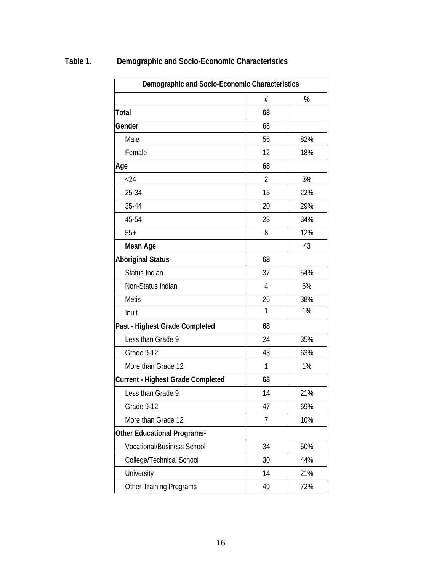| %<br>#<br><b>Total</b><br>68<br>Gender<br>68<br>56<br>Male<br>82%<br>Female<br>12<br>18%<br>68<br>Age<br>< 24<br>$\overline{2}$<br>3%<br>25-34<br>15<br>22%<br>35-44<br>29%<br>20<br>45-54<br>23<br>34%<br>$55+$<br>8<br>12%<br>43<br><b>Mean Age</b><br>68<br><b>Aboriginal Status</b><br>Status Indian<br>37<br>54%<br>6%<br>Non-Status Indian<br>4<br>26<br><b>Métis</b><br>38%<br>1%<br>1<br>Inuit<br>68<br>Past - Highest Grade Completed<br>Less than Grade 9<br>24<br>35%<br>43<br>Grade 9-12<br>63%<br>1<br>1%<br>More than Grade 12<br><b>Current - Highest Grade Completed</b><br>68<br>Less than Grade 9<br>14<br>21%<br>Grade 9-12<br>47<br>69%<br>10%<br>More than Grade 12<br>7<br>Other Educational Programs <sup>1</sup><br><b>Vocational/Business School</b><br>34<br>50%<br>College/Technical School<br>30<br>44%<br>14<br>University<br>21%<br>72%<br><b>Other Training Programs</b><br>49 | Demographic and Socio-Economic Characteristics |  |  |  |  |
|---------------------------------------------------------------------------------------------------------------------------------------------------------------------------------------------------------------------------------------------------------------------------------------------------------------------------------------------------------------------------------------------------------------------------------------------------------------------------------------------------------------------------------------------------------------------------------------------------------------------------------------------------------------------------------------------------------------------------------------------------------------------------------------------------------------------------------------------------------------------------------------------------------------|------------------------------------------------|--|--|--|--|
|                                                                                                                                                                                                                                                                                                                                                                                                                                                                                                                                                                                                                                                                                                                                                                                                                                                                                                               |                                                |  |  |  |  |
|                                                                                                                                                                                                                                                                                                                                                                                                                                                                                                                                                                                                                                                                                                                                                                                                                                                                                                               |                                                |  |  |  |  |
|                                                                                                                                                                                                                                                                                                                                                                                                                                                                                                                                                                                                                                                                                                                                                                                                                                                                                                               |                                                |  |  |  |  |
|                                                                                                                                                                                                                                                                                                                                                                                                                                                                                                                                                                                                                                                                                                                                                                                                                                                                                                               |                                                |  |  |  |  |
|                                                                                                                                                                                                                                                                                                                                                                                                                                                                                                                                                                                                                                                                                                                                                                                                                                                                                                               |                                                |  |  |  |  |
|                                                                                                                                                                                                                                                                                                                                                                                                                                                                                                                                                                                                                                                                                                                                                                                                                                                                                                               |                                                |  |  |  |  |
|                                                                                                                                                                                                                                                                                                                                                                                                                                                                                                                                                                                                                                                                                                                                                                                                                                                                                                               |                                                |  |  |  |  |
|                                                                                                                                                                                                                                                                                                                                                                                                                                                                                                                                                                                                                                                                                                                                                                                                                                                                                                               |                                                |  |  |  |  |
|                                                                                                                                                                                                                                                                                                                                                                                                                                                                                                                                                                                                                                                                                                                                                                                                                                                                                                               |                                                |  |  |  |  |
|                                                                                                                                                                                                                                                                                                                                                                                                                                                                                                                                                                                                                                                                                                                                                                                                                                                                                                               |                                                |  |  |  |  |
|                                                                                                                                                                                                                                                                                                                                                                                                                                                                                                                                                                                                                                                                                                                                                                                                                                                                                                               |                                                |  |  |  |  |
|                                                                                                                                                                                                                                                                                                                                                                                                                                                                                                                                                                                                                                                                                                                                                                                                                                                                                                               |                                                |  |  |  |  |
|                                                                                                                                                                                                                                                                                                                                                                                                                                                                                                                                                                                                                                                                                                                                                                                                                                                                                                               |                                                |  |  |  |  |
|                                                                                                                                                                                                                                                                                                                                                                                                                                                                                                                                                                                                                                                                                                                                                                                                                                                                                                               |                                                |  |  |  |  |
|                                                                                                                                                                                                                                                                                                                                                                                                                                                                                                                                                                                                                                                                                                                                                                                                                                                                                                               |                                                |  |  |  |  |
|                                                                                                                                                                                                                                                                                                                                                                                                                                                                                                                                                                                                                                                                                                                                                                                                                                                                                                               |                                                |  |  |  |  |
|                                                                                                                                                                                                                                                                                                                                                                                                                                                                                                                                                                                                                                                                                                                                                                                                                                                                                                               |                                                |  |  |  |  |
|                                                                                                                                                                                                                                                                                                                                                                                                                                                                                                                                                                                                                                                                                                                                                                                                                                                                                                               |                                                |  |  |  |  |
|                                                                                                                                                                                                                                                                                                                                                                                                                                                                                                                                                                                                                                                                                                                                                                                                                                                                                                               |                                                |  |  |  |  |
|                                                                                                                                                                                                                                                                                                                                                                                                                                                                                                                                                                                                                                                                                                                                                                                                                                                                                                               |                                                |  |  |  |  |
|                                                                                                                                                                                                                                                                                                                                                                                                                                                                                                                                                                                                                                                                                                                                                                                                                                                                                                               |                                                |  |  |  |  |
|                                                                                                                                                                                                                                                                                                                                                                                                                                                                                                                                                                                                                                                                                                                                                                                                                                                                                                               |                                                |  |  |  |  |
|                                                                                                                                                                                                                                                                                                                                                                                                                                                                                                                                                                                                                                                                                                                                                                                                                                                                                                               |                                                |  |  |  |  |
|                                                                                                                                                                                                                                                                                                                                                                                                                                                                                                                                                                                                                                                                                                                                                                                                                                                                                                               |                                                |  |  |  |  |
|                                                                                                                                                                                                                                                                                                                                                                                                                                                                                                                                                                                                                                                                                                                                                                                                                                                                                                               |                                                |  |  |  |  |
|                                                                                                                                                                                                                                                                                                                                                                                                                                                                                                                                                                                                                                                                                                                                                                                                                                                                                                               |                                                |  |  |  |  |
|                                                                                                                                                                                                                                                                                                                                                                                                                                                                                                                                                                                                                                                                                                                                                                                                                                                                                                               |                                                |  |  |  |  |
|                                                                                                                                                                                                                                                                                                                                                                                                                                                                                                                                                                                                                                                                                                                                                                                                                                                                                                               |                                                |  |  |  |  |
|                                                                                                                                                                                                                                                                                                                                                                                                                                                                                                                                                                                                                                                                                                                                                                                                                                                                                                               |                                                |  |  |  |  |
|                                                                                                                                                                                                                                                                                                                                                                                                                                                                                                                                                                                                                                                                                                                                                                                                                                                                                                               |                                                |  |  |  |  |

# <span id="page-22-0"></span>**Table 1. Demographic and Socio-Economic Characteristics**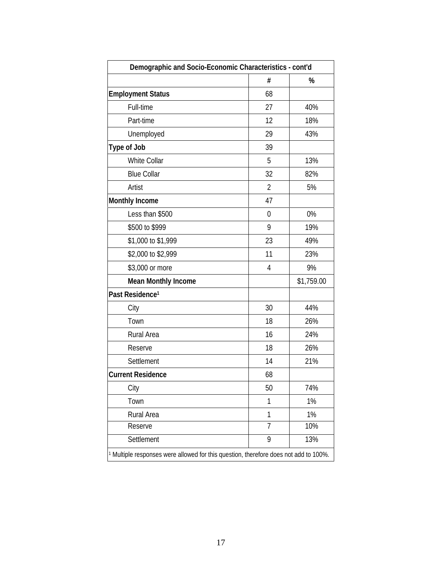| Demographic and Socio-Economic Characteristics - cont'd |                |            |
|---------------------------------------------------------|----------------|------------|
|                                                         | #              | %          |
| <b>Employment Status</b>                                | 68             |            |
| Full-time                                               | 27             | 40%        |
| Part-time                                               | 12             | 18%        |
| Unemployed                                              | 29             | 43%        |
| <b>Type of Job</b>                                      | 39             |            |
| <b>White Collar</b>                                     | 5              | 13%        |
| <b>Blue Collar</b>                                      | 32             | 82%        |
| Artist                                                  | $\overline{2}$ | 5%         |
| <b>Monthly Income</b>                                   | 47             |            |
| Less than \$500                                         | 0              | 0%         |
| \$500 to \$999                                          | 9              | 19%        |
| \$1,000 to \$1,999                                      | 23             | 49%        |
| \$2,000 to \$2,999                                      | 11             | 23%        |
| \$3,000 or more                                         | 4              | 9%         |
| <b>Mean Monthly Income</b>                              |                | \$1,759.00 |
| Past Residence <sup>1</sup>                             |                |            |
| City                                                    | 30             | 44%        |
| Town                                                    | 18             | 26%        |
| <b>Rural Area</b>                                       | 16             | 24%        |
| Reserve                                                 | 18             | 26%        |
| Settlement                                              | 14             | 21%        |
| <b>Current Residence</b>                                | 68             |            |
| City                                                    | 50             | 74%        |
| Town                                                    | 1              | 1%         |
| Rural Area                                              | 1              | 1%         |
| Reserve                                                 | $\overline{1}$ | 10%        |
| Settlement                                              | 9              | 13%        |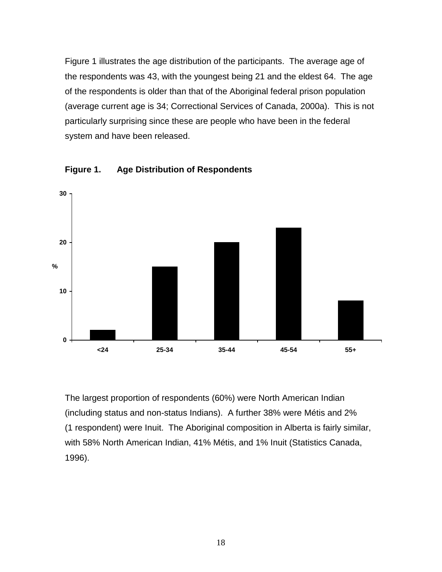<span id="page-24-0"></span>Figure 1 illustrates the age distribution of the participants. The average age of the respondents was 43, with the youngest being 21 and the eldest 64. The age of the respondents is older than that of the Aboriginal federal prison population (average current age is 34; Correctional Services of Canada, 2000a). This is not particularly surprising since these are people who have been in the federal system and have been released.



**Figure 1. Age Distribution of Respondents**

The largest proportion of respondents (60%) were North American Indian (including status and non-status Indians). A further 38% were Métis and 2% (1 respondent) were Inuit. The Aboriginal composition in Alberta is fairly similar, with 58% North American Indian, 41% Métis, and 1% Inuit (Statistics Canada, 1996).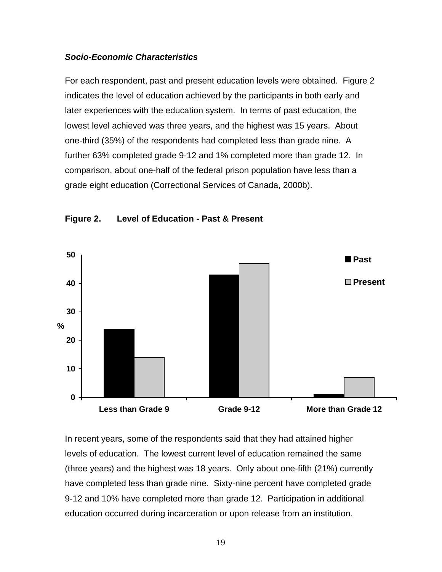#### <span id="page-25-0"></span>*Socio-Economic Characteristics*

For each respondent, past and present education levels were obtained. Figure 2 indicates the level of education achieved by the participants in both early and later experiences with the education system. In terms of past education, the lowest level achieved was three years, and the highest was 15 years. About one-third (35%) of the respondents had completed less than grade nine. A further 63% completed grade 9-12 and 1% completed more than grade 12. In comparison, about one-half of the federal prison population have less than a grade eight education (Correctional Services of Canada, 2000b).



#### **Figure 2. Level of Education - Past & Present**

In recent years, some of the respondents said that they had attained higher levels of education. The lowest current level of education remained the same (three years) and the highest was 18 years. Only about one-fifth (21%) currently have completed less than grade nine. Sixty-nine percent have completed grade 9-12 and 10% have completed more than grade 12. Participation in additional education occurred during incarceration or upon release from an institution.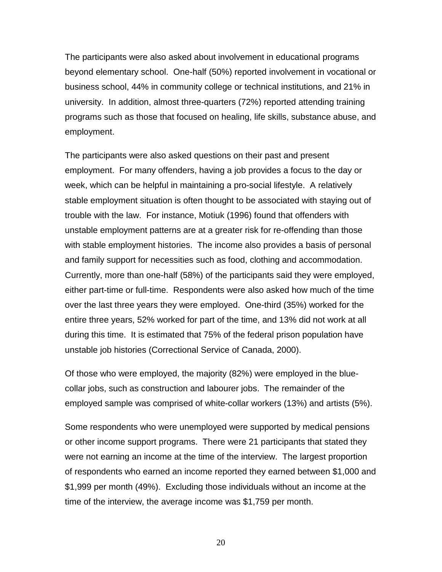The participants were also asked about involvement in educational programs beyond elementary school. One-half (50%) reported involvement in vocational or business school, 44% in community college or technical institutions, and 21% in university. In addition, almost three-quarters (72%) reported attending training programs such as those that focused on healing, life skills, substance abuse, and employment.

The participants were also asked questions on their past and present employment. For many offenders, having a job provides a focus to the day or week, which can be helpful in maintaining a pro-social lifestyle. A relatively stable employment situation is often thought to be associated with staying out of trouble with the law. For instance, Motiuk (1996) found that offenders with unstable employment patterns are at a greater risk for re-offending than those with stable employment histories. The income also provides a basis of personal and family support for necessities such as food, clothing and accommodation. Currently, more than one-half (58%) of the participants said they were employed, either part-time or full-time. Respondents were also asked how much of the time over the last three years they were employed. One-third (35%) worked for the entire three years, 52% worked for part of the time, and 13% did not work at all during this time. It is estimated that 75% of the federal prison population have unstable job histories (Correctional Service of Canada, 2000).

Of those who were employed, the majority (82%) were employed in the bluecollar jobs, such as construction and labourer jobs. The remainder of the employed sample was comprised of white-collar workers (13%) and artists (5%).

Some respondents who were unemployed were supported by medical pensions or other income support programs. There were 21 participants that stated they were not earning an income at the time of the interview. The largest proportion of respondents who earned an income reported they earned between \$1,000 and \$1,999 per month (49%). Excluding those individuals without an income at the time of the interview, the average income was \$1,759 per month.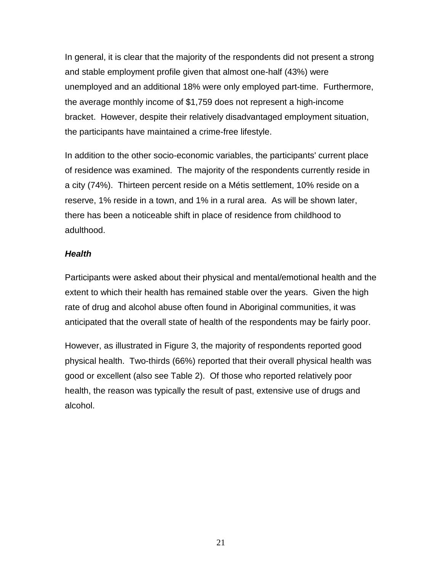In general, it is clear that the majority of the respondents did not present a strong and stable employment profile given that almost one-half (43%) were unemployed and an additional 18% were only employed part-time. Furthermore, the average monthly income of \$1,759 does not represent a high-income bracket. However, despite their relatively disadvantaged employment situation, the participants have maintained a crime-free lifestyle.

In addition to the other socio-economic variables, the participants' current place of residence was examined. The majority of the respondents currently reside in a city (74%). Thirteen percent reside on a Métis settlement, 10% reside on a reserve, 1% reside in a town, and 1% in a rural area. As will be shown later, there has been a noticeable shift in place of residence from childhood to adulthood.

#### *Health*

Participants were asked about their physical and mental/emotional health and the extent to which their health has remained stable over the years. Given the high rate of drug and alcohol abuse often found in Aboriginal communities, it was anticipated that the overall state of health of the respondents may be fairly poor.

However, as illustrated in Figure 3, the majority of respondents reported good physical health. Two-thirds (66%) reported that their overall physical health was good or excellent (also see Table 2). Of those who reported relatively poor health, the reason was typically the result of past, extensive use of drugs and alcohol.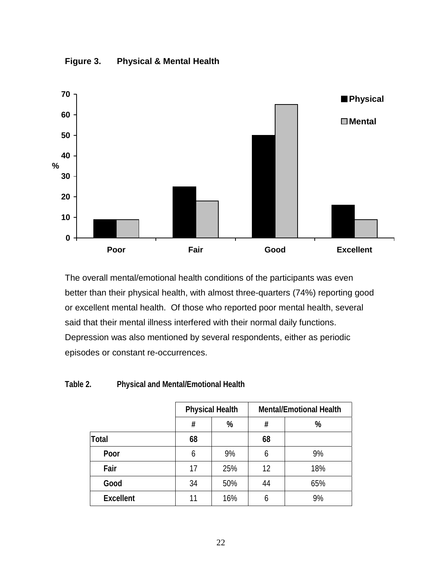<span id="page-28-0"></span>



The overall mental/emotional health conditions of the participants was even better than their physical health, with almost three-quarters (74%) reporting good or excellent mental health. Of those who reported poor mental health, several said that their mental illness interfered with their normal daily functions. Depression was also mentioned by several respondents, either as periodic episodes or constant re-occurrences.

#### **Table 2. Physical and Mental/Emotional Health**

|                  | <b>Physical Health</b> |     |    | <b>Mental/Emotional Health</b> |
|------------------|------------------------|-----|----|--------------------------------|
|                  | #                      | %   | #  | %                              |
| <b>Total</b>     | 68                     |     | 68 |                                |
| Poor             | 6                      | 9%  | 6  | 9%                             |
| Fair             | 17                     | 25% | 12 | 18%                            |
| Good             | 34                     | 50% | 44 | 65%                            |
| <b>Excellent</b> | 11                     | 16% | 6  | 9%                             |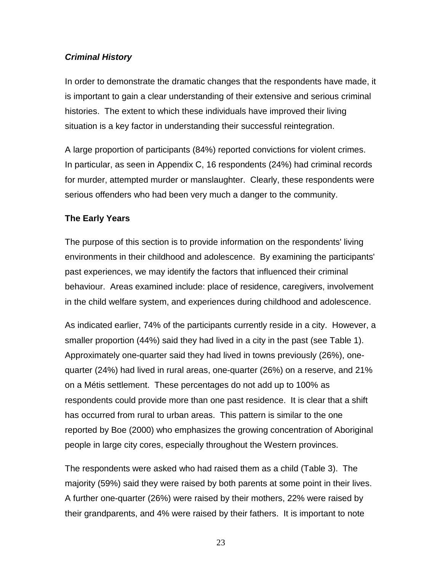## <span id="page-29-0"></span>*Criminal History*

In order to demonstrate the dramatic changes that the respondents have made, it is important to gain a clear understanding of their extensive and serious criminal histories. The extent to which these individuals have improved their living situation is a key factor in understanding their successful reintegration.

A large proportion of participants (84%) reported convictions for violent crimes. In particular, as seen in Appendix C, 16 respondents (24%) had criminal records for murder, attempted murder or manslaughter. Clearly, these respondents were serious offenders who had been very much a danger to the community.

#### **The Early Years**

The purpose of this section is to provide information on the respondents' living environments in their childhood and adolescence. By examining the participants' past experiences, we may identify the factors that influenced their criminal behaviour. Areas examined include: place of residence, caregivers, involvement in the child welfare system, and experiences during childhood and adolescence.

As indicated earlier, 74% of the participants currently reside in a city. However, a smaller proportion (44%) said they had lived in a city in the past (see Table 1). Approximately one-quarter said they had lived in towns previously (26%), onequarter (24%) had lived in rural areas, one-quarter (26%) on a reserve, and 21% on a Métis settlement. These percentages do not add up to 100% as respondents could provide more than one past residence. It is clear that a shift has occurred from rural to urban areas. This pattern is similar to the one reported by Boe (2000) who emphasizes the growing concentration of Aboriginal people in large city cores, especially throughout the Western provinces.

The respondents were asked who had raised them as a child (Table 3). The majority (59%) said they were raised by both parents at some point in their lives. A further one-quarter (26%) were raised by their mothers, 22% were raised by their grandparents, and 4% were raised by their fathers. It is important to note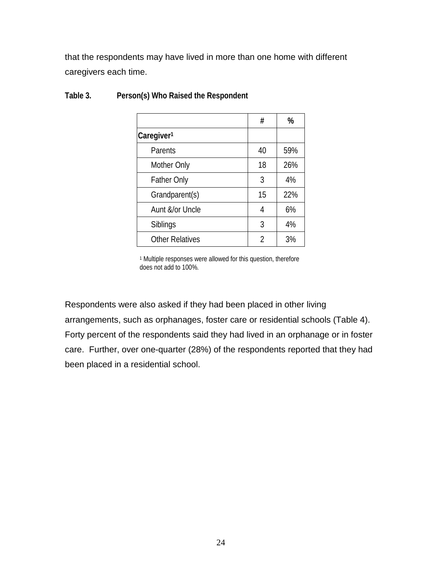<span id="page-30-0"></span>that the respondents may have lived in more than one home with different caregivers each time.

|                        | #  | %   |
|------------------------|----|-----|
| Caregiver <sup>1</sup> |    |     |
| Parents                | 40 | 59% |
| Mother Only            | 18 | 26% |
| <b>Father Only</b>     | 3  | 4%  |
| Grandparent(s)         | 15 | 22% |
| Aunt &/or Uncle        | 4  | 6%  |
| Siblings               | 3  | 4%  |
| <b>Other Relatives</b> | 2  | 3%  |

## **Table 3. Person(s) Who Raised the Respondent**

1 Multiple responses were allowed for this question, therefore does not add to 100%.

Respondents were also asked if they had been placed in other living arrangements, such as orphanages, foster care or residential schools (Table 4). Forty percent of the respondents said they had lived in an orphanage or in foster care. Further, over one-quarter (28%) of the respondents reported that they had been placed in a residential school.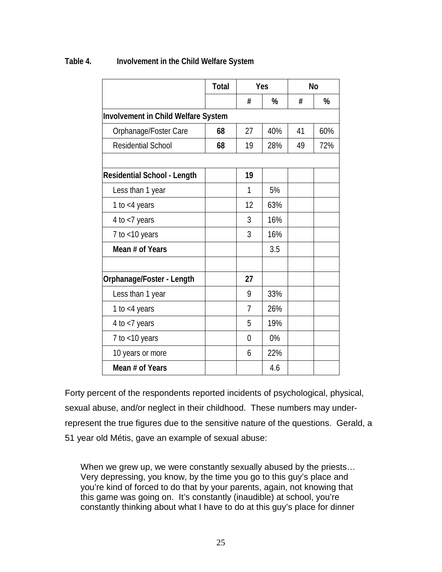|                                            | <b>Total</b> | Yes            |     | <b>No</b> |     |
|--------------------------------------------|--------------|----------------|-----|-----------|-----|
|                                            |              | #              | %   | #         | %   |
| <b>Involvement in Child Welfare System</b> |              |                |     |           |     |
| Orphanage/Foster Care                      | 68           | 27             | 40% | 41        | 60% |
| <b>Residential School</b>                  | 68           | 19             | 28% | 49        | 72% |
|                                            |              |                |     |           |     |
| <b>Residential School - Length</b>         |              | 19             |     |           |     |
| Less than 1 year                           |              | 1              | 5%  |           |     |
| 1 to $<$ 4 years                           |              | 12             | 63% |           |     |
| 4 to $<$ 7 years                           |              | 3              | 16% |           |     |
| 7 to $<$ 10 years                          |              | 3              | 16% |           |     |
| Mean # of Years                            |              |                | 3.5 |           |     |
|                                            |              |                |     |           |     |
| Orphanage/Foster - Length                  |              | 27             |     |           |     |
| Less than 1 year                           |              | 9              | 33% |           |     |
| 1 to $<$ 4 years                           |              | $\overline{7}$ | 26% |           |     |
| 4 to <7 years                              |              | 5              | 19% |           |     |
| 7 to $<$ 10 years                          |              | $\overline{0}$ | 0%  |           |     |
| 10 years or more                           |              | 6              | 22% |           |     |
| Mean # of Years                            |              |                | 4.6 |           |     |

#### <span id="page-31-0"></span>**Table 4. Involvement in the Child Welfare System**

Forty percent of the respondents reported incidents of psychological, physical, sexual abuse, and/or neglect in their childhood. These numbers may underrepresent the true figures due to the sensitive nature of the questions. Gerald, a 51 year old Métis, gave an example of sexual abuse:

When we grew up, we were constantly sexually abused by the priests... Very depressing, you know, by the time you go to this guy's place and you're kind of forced to do that by your parents, again, not knowing that this game was going on. It's constantly (inaudible) at school, you're constantly thinking about what I have to do at this guy's place for dinner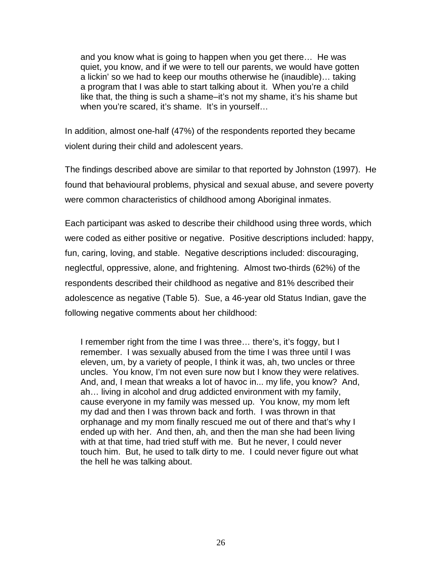and you know what is going to happen when you get there… He was quiet, you know, and if we were to tell our parents, we would have gotten a lickin' so we had to keep our mouths otherwise he (inaudible)… taking a program that I was able to start talking about it. When you're a child like that, the thing is such a shame–it's not my shame, it's his shame but when you're scared, it's shame. It's in yourself...

In addition, almost one-half (47%) of the respondents reported they became violent during their child and adolescent years.

The findings described above are similar to that reported by Johnston (1997). He found that behavioural problems, physical and sexual abuse, and severe poverty were common characteristics of childhood among Aboriginal inmates.

Each participant was asked to describe their childhood using three words, which were coded as either positive or negative. Positive descriptions included: happy, fun, caring, loving, and stable. Negative descriptions included: discouraging, neglectful, oppressive, alone, and frightening. Almost two-thirds (62%) of the respondents described their childhood as negative and 81% described their adolescence as negative (Table 5). Sue, a 46-year old Status Indian, gave the following negative comments about her childhood:

I remember right from the time I was three… there's, it's foggy, but I remember. I was sexually abused from the time I was three until I was eleven, um, by a variety of people, I think it was, ah, two uncles or three uncles. You know, I'm not even sure now but I know they were relatives. And, and, I mean that wreaks a lot of havoc in... my life, you know? And, ah… living in alcohol and drug addicted environment with my family, cause everyone in my family was messed up. You know, my mom left my dad and then I was thrown back and forth. I was thrown in that orphanage and my mom finally rescued me out of there and that's why I ended up with her. And then, ah, and then the man she had been living with at that time, had tried stuff with me. But he never, I could never touch him. But, he used to talk dirty to me. I could never figure out what the hell he was talking about.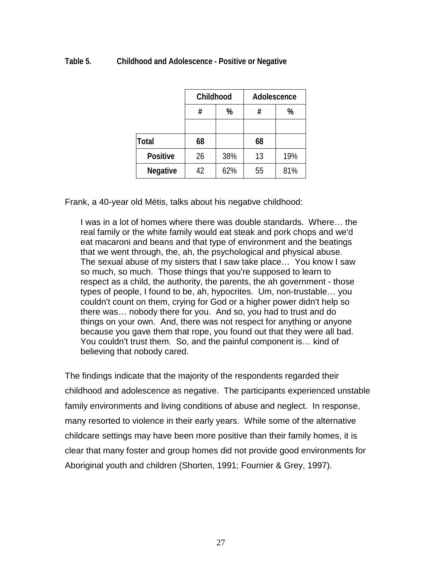#### <span id="page-33-0"></span>**Table 5. Childhood and Adolescence - Positive or Negative**

|                 | Childhood |     | Adolescence |     |
|-----------------|-----------|-----|-------------|-----|
|                 | %<br>#    |     | #           | %   |
|                 |           |     |             |     |
| <b>Total</b>    | 68        |     | 68          |     |
| <b>Positive</b> | 26        | 38% | 13          | 19% |
| <b>Negative</b> | 42        | 62% | 55          | 81% |

Frank, a 40-year old Métis, talks about his negative childhood:

I was in a lot of homes where there was double standards. Where… the real family or the white family would eat steak and pork chops and we'd eat macaroni and beans and that type of environment and the beatings that we went through, the, ah, the psychological and physical abuse. The sexual abuse of my sisters that I saw take place… You know I saw so much, so much. Those things that you're supposed to learn to respect as a child, the authority, the parents, the ah government - those types of people, I found to be, ah, hypocrites. Um, non-trustable… you couldn't count on them, crying for God or a higher power didn't help so there was… nobody there for you. And so, you had to trust and do things on your own. And, there was not respect for anything or anyone because you gave them that rope, you found out that they were all bad. You couldn't trust them. So, and the painful component is… kind of believing that nobody cared.

The findings indicate that the majority of the respondents regarded their childhood and adolescence as negative. The participants experienced unstable family environments and living conditions of abuse and neglect. In response, many resorted to violence in their early years. While some of the alternative childcare settings may have been more positive than their family homes, it is clear that many foster and group homes did not provide good environments for Aboriginal youth and children (Shorten, 1991; Fournier & Grey, 1997).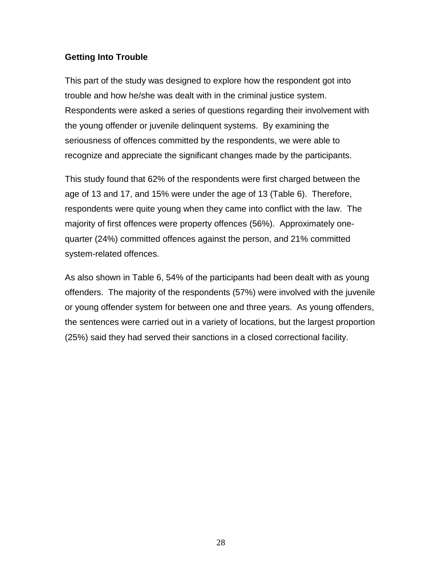#### <span id="page-34-0"></span>**Getting Into Trouble**

This part of the study was designed to explore how the respondent got into trouble and how he/she was dealt with in the criminal justice system. Respondents were asked a series of questions regarding their involvement with the young offender or juvenile delinquent systems. By examining the seriousness of offences committed by the respondents, we were able to recognize and appreciate the significant changes made by the participants.

This study found that 62% of the respondents were first charged between the age of 13 and 17, and 15% were under the age of 13 (Table 6). Therefore, respondents were quite young when they came into conflict with the law. The majority of first offences were property offences (56%). Approximately onequarter (24%) committed offences against the person, and 21% committed system-related offences.

As also shown in Table 6, 54% of the participants had been dealt with as young offenders. The majority of the respondents (57%) were involved with the juvenile or young offender system for between one and three years. As young offenders, the sentences were carried out in a variety of locations, but the largest proportion (25%) said they had served their sanctions in a closed correctional facility.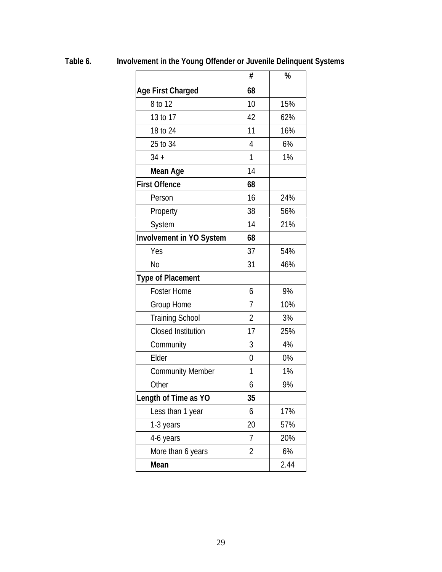|                                 | #              | %    |
|---------------------------------|----------------|------|
| <b>Age First Charged</b>        | 68             |      |
| 8 to 12                         | 10             | 15%  |
| 13 to 17                        | 42             | 62%  |
| 18 to 24                        | 11             | 16%  |
| 25 to 34                        | 4              | 6%   |
| $34 +$                          | 1              | 1%   |
| Mean Age                        | 14             |      |
| <b>First Offence</b>            | 68             |      |
| Person                          | 16             | 24%  |
| Property                        | 38             | 56%  |
| System                          | 14             | 21%  |
| <b>Involvement in YO System</b> | 68             |      |
| Yes                             | 37             | 54%  |
| N <sub>0</sub>                  | 31             | 46%  |
| <b>Type of Placement</b>        |                |      |
| <b>Foster Home</b>              | 6              | 9%   |
| Group Home                      | 7              | 10%  |
| <b>Training School</b>          | $\overline{2}$ | 3%   |
| <b>Closed Institution</b>       | 17             | 25%  |
| Community                       | 3              | 4%   |
| Elder                           | $\overline{0}$ | 0%   |
| <b>Community Member</b>         | 1              | 1%   |
| Other                           | 6              | 9%   |
| Length of Time as YO            | 35             |      |
| Less than 1 year                | 6              | 17%  |
| 1-3 years                       | 20             | 57%  |
| 4-6 years                       | 7              | 20%  |
| More than 6 years               | 2              | 6%   |
| Mean                            |                | 2.44 |

<span id="page-35-0"></span>**Table 6. Involvement in the Young Offender or Juvenile Delinquent Systems**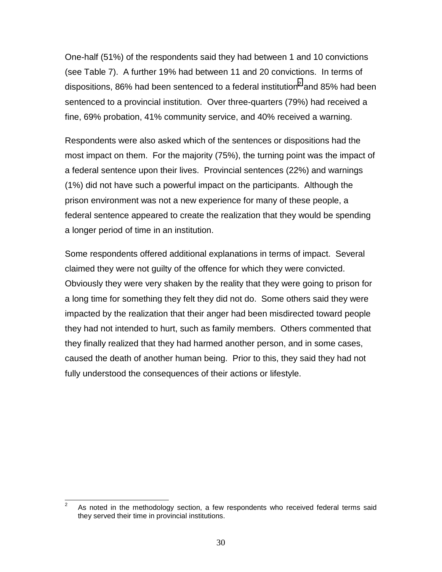One-half (51%) of the respondents said they had between 1 and 10 convictions (see Table 7). A further 19% had between 11 and 20 convictions. In terms of dispositions, 86% had been sentenced to a federal institution<sup>2</sup> and 85% had been sentenced to a provincial institution. Over three-quarters (79%) had received a fine, 69% probation, 41% community service, and 40% received a warning.

Respondents were also asked which of the sentences or dispositions had the most impact on them. For the majority (75%), the turning point was the impact of a federal sentence upon their lives. Provincial sentences (22%) and warnings (1%) did not have such a powerful impact on the participants. Although the prison environment was not a new experience for many of these people, a federal sentence appeared to create the realization that they would be spending a longer period of time in an institution.

Some respondents offered additional explanations in terms of impact. Several claimed they were not guilty of the offence for which they were convicted. Obviously they were very shaken by the reality that they were going to prison for a long time for something they felt they did not do. Some others said they were impacted by the realization that their anger had been misdirected toward people they had not intended to hurt, such as family members. Others commented that they finally realized that they had harmed another person, and in some cases, caused the death of another human being. Prior to this, they said they had not fully understood the consequences of their actions or lifestyle.

<sup>-&</sup>lt;br>2 As noted in the methodology section, a few respondents who received federal terms said they served their time in provincial institutions.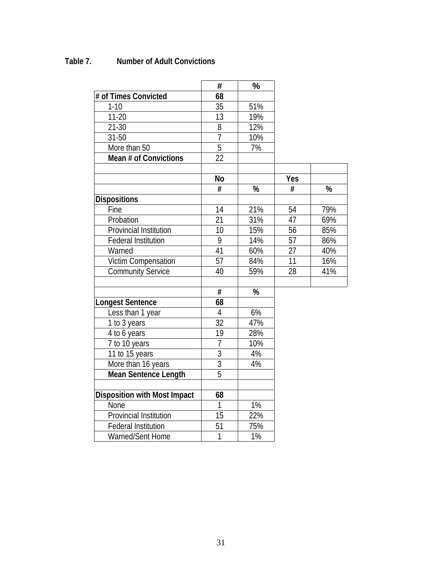# **Table 7. Number of Adult Convictions**

|                                     | #               | $\frac{1}{2}$    |            |     |
|-------------------------------------|-----------------|------------------|------------|-----|
| # of Times Convicted                | 68              |                  |            |     |
| $1 - 10$                            | 35              | 51%              |            |     |
| $11 - 20$                           | 13              | 19%              |            |     |
| $21 - 30$                           | $\overline{8}$  | 12%              |            |     |
| $31 - 50$                           | $\overline{7}$  | 10%              |            |     |
| More than 50                        | $\overline{5}$  | $\overline{7\%}$ |            |     |
| Mean # of Convictions               | 22              |                  |            |     |
|                                     |                 |                  |            |     |
|                                     | <b>No</b>       |                  | <b>Yes</b> |     |
|                                     | #               | %                | #          | %   |
| <b>Dispositions</b>                 |                 |                  |            |     |
| Fine                                | 14              | 21%              | 54         | 79% |
| Probation                           | $\overline{21}$ | 31%              | 47         | 69% |
| Provincial Institution              | 10              | 15%              | 56         | 85% |
| Federal Institution                 | 9               | 14%              | 57         | 86% |
| Warned                              | 41              | 60%              | 27         | 40% |
| <b>Victim Compensation</b>          | 57              | 84%              | 11         | 16% |
| <b>Community Service</b>            | 40              | 59%              | 28         | 41% |
|                                     |                 |                  |            |     |
|                                     | $\overline{\#}$ | %                |            |     |
| <b>Longest Sentence</b>             | 68              |                  |            |     |
| Less than 1 year                    | $\overline{4}$  | 6%               |            |     |
| 1 to 3 years                        | 32              | 47%              |            |     |
| 4 to 6 years                        | 19              | 28%              |            |     |
| 7 to 10 years                       | 7               | 10%              |            |     |
| 11 to 15 years                      | $\overline{3}$  | 4%               |            |     |
| More than 16 years                  | $\overline{3}$  | 4%               |            |     |
| <b>Mean Sentence Length</b>         | $\overline{5}$  |                  |            |     |
|                                     |                 |                  |            |     |
| <b>Disposition with Most Impact</b> | 68              |                  |            |     |
| None                                | $\mathbf{1}$    | 1%               |            |     |
| Provincial Institution              | 15              | 22%              |            |     |
| <b>Federal Institution</b>          | 51              | 75%              |            |     |
| Warned/Sent Home                    | 1               | 1%               |            |     |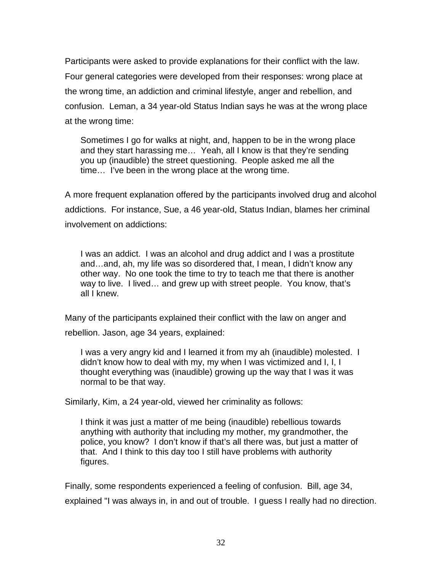Participants were asked to provide explanations for their conflict with the law. Four general categories were developed from their responses: wrong place at the wrong time, an addiction and criminal lifestyle, anger and rebellion, and confusion. Leman, a 34 year-old Status Indian says he was at the wrong place at the wrong time:

Sometimes I go for walks at night, and, happen to be in the wrong place and they start harassing me… Yeah, all I know is that they're sending you up (inaudible) the street questioning. People asked me all the time… I've been in the wrong place at the wrong time.

A more frequent explanation offered by the participants involved drug and alcohol addictions. For instance, Sue, a 46 year-old, Status Indian, blames her criminal involvement on addictions:

I was an addict. I was an alcohol and drug addict and I was a prostitute and…and, ah, my life was so disordered that, I mean, I didn't know any other way. No one took the time to try to teach me that there is another way to live. I lived… and grew up with street people. You know, that's all I knew.

Many of the participants explained their conflict with the law on anger and

rebellion. Jason, age 34 years, explained:

I was a very angry kid and I learned it from my ah (inaudible) molested. I didn't know how to deal with my, my when I was victimized and I, I, I thought everything was (inaudible) growing up the way that I was it was normal to be that way.

Similarly, Kim, a 24 year-old, viewed her criminality as follows:

I think it was just a matter of me being (inaudible) rebellious towards anything with authority that including my mother, my grandmother, the police, you know? I don't know if that's all there was, but just a matter of that. And I think to this day too I still have problems with authority figures.

Finally, some respondents experienced a feeling of confusion. Bill, age 34, explained "I was always in, in and out of trouble. I guess I really had no direction.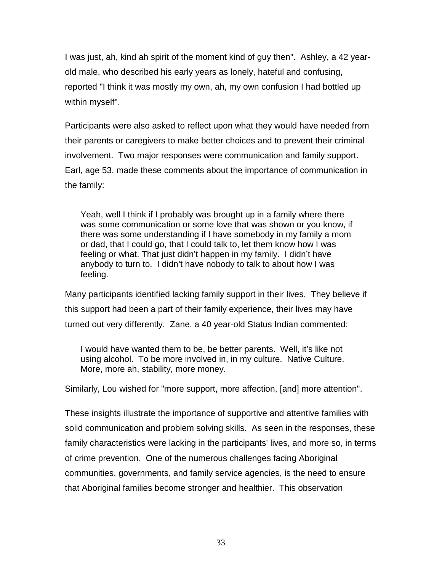I was just, ah, kind ah spirit of the moment kind of guy then". Ashley, a 42 yearold male, who described his early years as lonely, hateful and confusing, reported "I think it was mostly my own, ah, my own confusion I had bottled up within myself".

Participants were also asked to reflect upon what they would have needed from their parents or caregivers to make better choices and to prevent their criminal involvement. Two major responses were communication and family support. Earl, age 53, made these comments about the importance of communication in the family:

Yeah, well I think if I probably was brought up in a family where there was some communication or some love that was shown or you know, if there was some understanding if I have somebody in my family a mom or dad, that I could go, that I could talk to, let them know how I was feeling or what. That just didn't happen in my family. I didn't have anybody to turn to. I didn't have nobody to talk to about how I was feeling.

Many participants identified lacking family support in their lives. They believe if this support had been a part of their family experience, their lives may have turned out very differently. Zane, a 40 year-old Status Indian commented:

I would have wanted them to be, be better parents. Well, it's like not using alcohol. To be more involved in, in my culture. Native Culture. More, more ah, stability, more money.

Similarly, Lou wished for "more support, more affection, [and] more attention".

These insights illustrate the importance of supportive and attentive families with solid communication and problem solving skills. As seen in the responses, these family characteristics were lacking in the participants' lives, and more so, in terms of crime prevention. One of the numerous challenges facing Aboriginal communities, governments, and family service agencies, is the need to ensure that Aboriginal families become stronger and healthier. This observation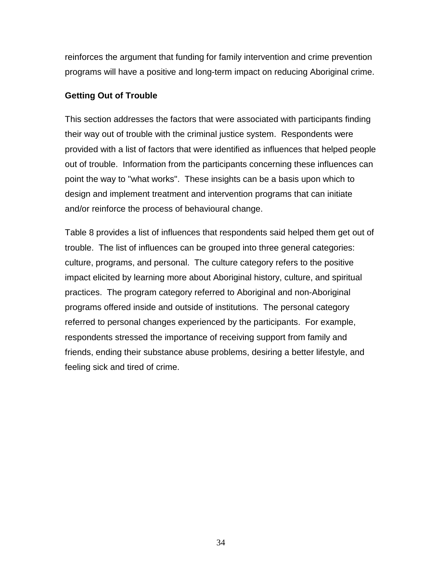reinforces the argument that funding for family intervention and crime prevention programs will have a positive and long-term impact on reducing Aboriginal crime.

## **Getting Out of Trouble**

This section addresses the factors that were associated with participants finding their way out of trouble with the criminal justice system. Respondents were provided with a list of factors that were identified as influences that helped people out of trouble. Information from the participants concerning these influences can point the way to "what works". These insights can be a basis upon which to design and implement treatment and intervention programs that can initiate and/or reinforce the process of behavioural change.

Table 8 provides a list of influences that respondents said helped them get out of trouble. The list of influences can be grouped into three general categories: culture, programs, and personal. The culture category refers to the positive impact elicited by learning more about Aboriginal history, culture, and spiritual practices. The program category referred to Aboriginal and non-Aboriginal programs offered inside and outside of institutions. The personal category referred to personal changes experienced by the participants. For example, respondents stressed the importance of receiving support from family and friends, ending their substance abuse problems, desiring a better lifestyle, and feeling sick and tired of crime.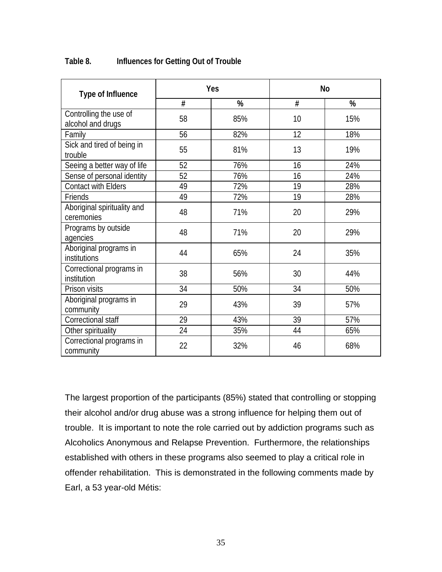| <b>Type of Influence</b>                    |    | Yes | <b>No</b>       |     |
|---------------------------------------------|----|-----|-----------------|-----|
|                                             | #  | %   | #               | %   |
| Controlling the use of<br>alcohol and drugs | 58 | 85% | 10              | 15% |
| Family                                      | 56 | 82% | 12 <sup>2</sup> | 18% |
| Sick and tired of being in<br>trouble       | 55 | 81% | 13              | 19% |
| Seeing a better way of life                 | 52 | 76% | 16              | 24% |
| Sense of personal identity                  | 52 | 76% | 16              | 24% |
| <b>Contact with Elders</b>                  | 49 | 72% | 19              | 28% |
| Friends                                     | 49 | 72% | 19              | 28% |
| Aboriginal spirituality and<br>ceremonies   | 48 | 71% | 20              | 29% |
| Programs by outside<br>agencies             | 48 | 71% | 20              | 29% |
| Aboriginal programs in<br>institutions      | 44 | 65% | 24              | 35% |
| Correctional programs in<br>institution     | 38 | 56% | 30              | 44% |
| Prison visits                               | 34 | 50% | 34              | 50% |
| Aboriginal programs in<br>community         | 29 | 43% | 39              | 57% |
| Correctional staff                          | 29 | 43% | 39              | 57% |
| Other spirituality                          | 24 | 35% | 44              | 65% |
| Correctional programs in<br>community       | 22 | 32% | 46              | 68% |

### **Table 8. Influences for Getting Out of Trouble**

The largest proportion of the participants (85%) stated that controlling or stopping their alcohol and/or drug abuse was a strong influence for helping them out of trouble. It is important to note the role carried out by addiction programs such as Alcoholics Anonymous and Relapse Prevention. Furthermore, the relationships established with others in these programs also seemed to play a critical role in offender rehabilitation. This is demonstrated in the following comments made by Earl, a 53 year-old Métis: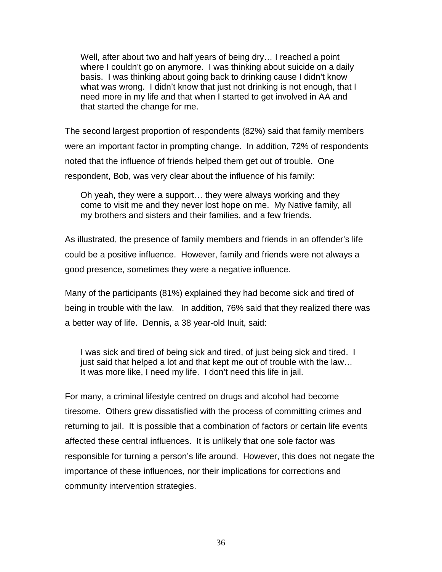Well, after about two and half years of being dry… I reached a point where I couldn't go on anymore. I was thinking about suicide on a daily basis. I was thinking about going back to drinking cause I didn't know what was wrong. I didn't know that just not drinking is not enough, that I need more in my life and that when I started to get involved in AA and that started the change for me.

The second largest proportion of respondents (82%) said that family members were an important factor in prompting change. In addition, 72% of respondents noted that the influence of friends helped them get out of trouble. One respondent, Bob, was very clear about the influence of his family:

Oh yeah, they were a support… they were always working and they come to visit me and they never lost hope on me. My Native family, all my brothers and sisters and their families, and a few friends.

As illustrated, the presence of family members and friends in an offender's life could be a positive influence. However, family and friends were not always a good presence, sometimes they were a negative influence.

Many of the participants (81%) explained they had become sick and tired of being in trouble with the law. In addition, 76% said that they realized there was a better way of life. Dennis, a 38 year-old Inuit, said:

I was sick and tired of being sick and tired, of just being sick and tired. I just said that helped a lot and that kept me out of trouble with the law... It was more like, I need my life. I don't need this life in jail.

For many, a criminal lifestyle centred on drugs and alcohol had become tiresome. Others grew dissatisfied with the process of committing crimes and returning to jail. It is possible that a combination of factors or certain life events affected these central influences. It is unlikely that one sole factor was responsible for turning a person's life around. However, this does not negate the importance of these influences, nor their implications for corrections and community intervention strategies.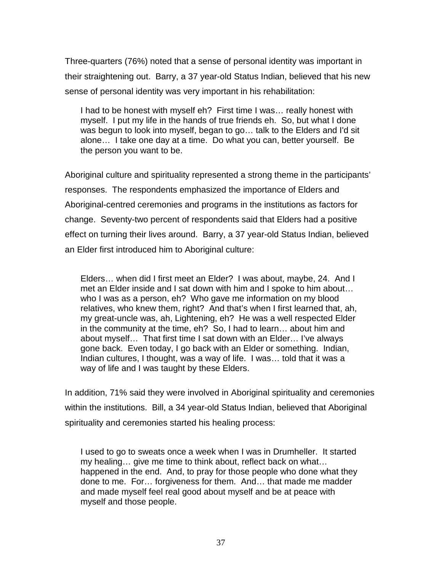Three-quarters (76%) noted that a sense of personal identity was important in their straightening out. Barry, a 37 year-old Status Indian, believed that his new sense of personal identity was very important in his rehabilitation:

I had to be honest with myself eh? First time I was… really honest with myself. I put my life in the hands of true friends eh. So, but what I done was begun to look into myself, began to go… talk to the Elders and I'd sit alone… I take one day at a time. Do what you can, better yourself. Be the person you want to be.

Aboriginal culture and spirituality represented a strong theme in the participants' responses. The respondents emphasized the importance of Elders and Aboriginal-centred ceremonies and programs in the institutions as factors for change. Seventy-two percent of respondents said that Elders had a positive effect on turning their lives around. Barry, a 37 year-old Status Indian, believed an Elder first introduced him to Aboriginal culture:

Elders… when did I first meet an Elder? I was about, maybe, 24. And I met an Elder inside and I sat down with him and I spoke to him about… who I was as a person, eh? Who gave me information on my blood relatives, who knew them, right? And that's when I first learned that, ah, my great-uncle was, ah, Lightening, eh? He was a well respected Elder in the community at the time, eh? So, I had to learn… about him and about myself… That first time I sat down with an Elder… I've always gone back. Even today, I go back with an Elder or something. Indian, Indian cultures, I thought, was a way of life. I was… told that it was a way of life and I was taught by these Elders.

In addition, 71% said they were involved in Aboriginal spirituality and ceremonies within the institutions. Bill, a 34 year-old Status Indian, believed that Aboriginal spirituality and ceremonies started his healing process:

I used to go to sweats once a week when I was in Drumheller. It started my healing… give me time to think about, reflect back on what… happened in the end. And, to pray for those people who done what they done to me. For… forgiveness for them. And… that made me madder and made myself feel real good about myself and be at peace with myself and those people.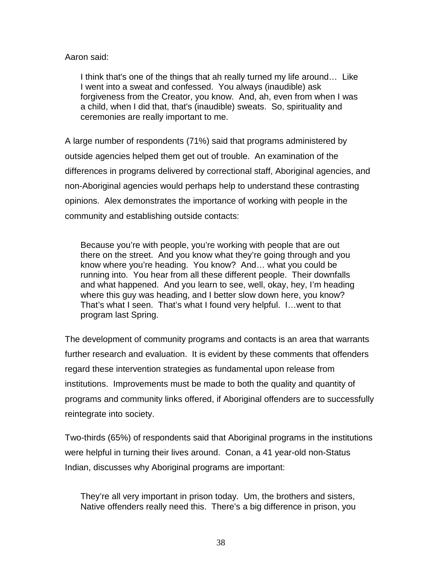## Aaron said:

I think that's one of the things that ah really turned my life around… Like I went into a sweat and confessed. You always (inaudible) ask forgiveness from the Creator, you know. And, ah, even from when I was a child, when I did that, that's (inaudible) sweats. So, spirituality and ceremonies are really important to me.

A large number of respondents (71%) said that programs administered by outside agencies helped them get out of trouble. An examination of the differences in programs delivered by correctional staff, Aboriginal agencies, and non-Aboriginal agencies would perhaps help to understand these contrasting opinions. Alex demonstrates the importance of working with people in the community and establishing outside contacts:

Because you're with people, you're working with people that are out there on the street. And you know what they're going through and you know where you're heading. You know? And… what you could be running into. You hear from all these different people. Their downfalls and what happened. And you learn to see, well, okay, hey, I'm heading where this guy was heading, and I better slow down here, you know? That's what I seen. That's what I found very helpful. I…went to that program last Spring.

The development of community programs and contacts is an area that warrants further research and evaluation. It is evident by these comments that offenders regard these intervention strategies as fundamental upon release from institutions. Improvements must be made to both the quality and quantity of programs and community links offered, if Aboriginal offenders are to successfully reintegrate into society.

Two-thirds (65%) of respondents said that Aboriginal programs in the institutions were helpful in turning their lives around. Conan, a 41 year-old non-Status Indian, discusses why Aboriginal programs are important:

They're all very important in prison today. Um, the brothers and sisters, Native offenders really need this. There's a big difference in prison, you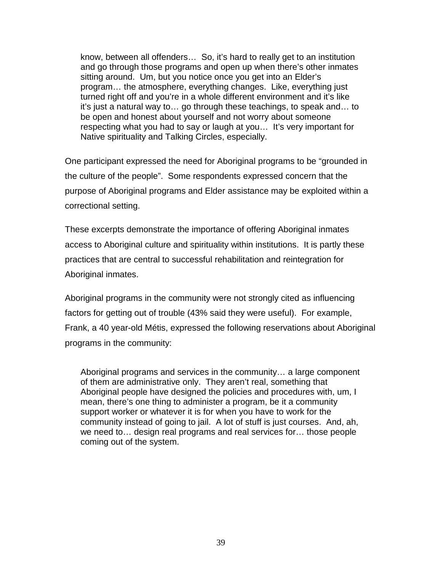know, between all offenders… So, it's hard to really get to an institution and go through those programs and open up when there's other inmates sitting around. Um, but you notice once you get into an Elder's program… the atmosphere, everything changes. Like, everything just turned right off and you're in a whole different environment and it's like it's just a natural way to… go through these teachings, to speak and… to be open and honest about yourself and not worry about someone respecting what you had to say or laugh at you… It's very important for Native spirituality and Talking Circles, especially.

One participant expressed the need for Aboriginal programs to be "grounded in the culture of the people". Some respondents expressed concern that the purpose of Aboriginal programs and Elder assistance may be exploited within a correctional setting.

These excerpts demonstrate the importance of offering Aboriginal inmates access to Aboriginal culture and spirituality within institutions. It is partly these practices that are central to successful rehabilitation and reintegration for Aboriginal inmates.

Aboriginal programs in the community were not strongly cited as influencing factors for getting out of trouble (43% said they were useful). For example, Frank, a 40 year-old Métis, expressed the following reservations about Aboriginal programs in the community:

Aboriginal programs and services in the community… a large component of them are administrative only. They aren't real, something that Aboriginal people have designed the policies and procedures with, um, I mean, there's one thing to administer a program, be it a community support worker or whatever it is for when you have to work for the community instead of going to jail. A lot of stuff is just courses. And, ah, we need to… design real programs and real services for… those people coming out of the system.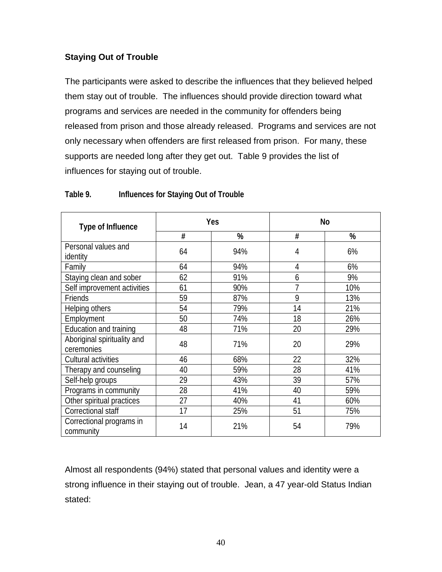# **Staying Out of Trouble**

The participants were asked to describe the influences that they believed helped them stay out of trouble. The influences should provide direction toward what programs and services are needed in the community for offenders being released from prison and those already released. Programs and services are not only necessary when offenders are first released from prison. For many, these supports are needed long after they get out. Table 9 provides the list of influences for staying out of trouble.

| <b>Type of Influence</b>                  |        | Yes | <b>No</b> |     |
|-------------------------------------------|--------|-----|-----------|-----|
|                                           | #<br>% |     | #         | %   |
| Personal values and<br>identity           | 64     | 94% | 4         | 6%  |
| Family                                    | 64     | 94% | 4         | 6%  |
| Staying clean and sober                   | 62     | 91% | 6         | 9%  |
| Self improvement activities               | 61     | 90% | 7         | 10% |
| Friends                                   | 59     | 87% | 9         | 13% |
| Helping others                            | 54     | 79% | 14        | 21% |
| Employment                                | 50     | 74% | 18        | 26% |
| Education and training                    | 48     | 71% | 20        | 29% |
| Aboriginal spirituality and<br>ceremonies | 48     | 71% | 20        | 29% |
| Cultural activities                       | 46     | 68% | 22        | 32% |
| Therapy and counseling                    | 40     | 59% | 28        | 41% |
| Self-help groups                          | 29     | 43% | 39        | 57% |
| Programs in community                     | 28     | 41% | 40        | 59% |
| Other spiritual practices                 | 27     | 40% | 41        | 60% |
| Correctional staff                        | 17     | 25% | 51        | 75% |
| Correctional programs in<br>community     | 14     | 21% | 54        | 79% |

## **Table 9. Influences for Staying Out of Trouble**

Almost all respondents (94%) stated that personal values and identity were a strong influence in their staying out of trouble. Jean, a 47 year-old Status Indian stated: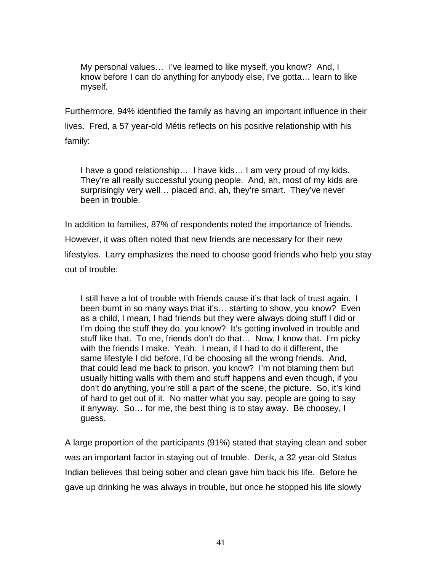My personal values… I've learned to like myself, you know? And, I know before I can do anything for anybody else, I've gotta… learn to like myself.

Furthermore, 94% identified the family as having an important influence in their lives. Fred, a 57 year-old Métis reflects on his positive relationship with his family:

I have a good relationship… I have kids… I am very proud of my kids. They're all really successful young people. And, ah, most of my kids are surprisingly very well… placed and, ah, they're smart. They've never been in trouble.

In addition to families, 87% of respondents noted the importance of friends. However, it was often noted that new friends are necessary for their new lifestyles. Larry emphasizes the need to choose good friends who help you stay out of trouble:

I still have a lot of trouble with friends cause it's that lack of trust again. I been burnt in so many ways that it's… starting to show, you know? Even as a child, I mean, I had friends but they were always doing stuff I did or I'm doing the stuff they do, you know? It's getting involved in trouble and stuff like that. To me, friends don't do that… Now, I know that. I'm picky with the friends I make. Yeah. I mean, if I had to do it different, the same lifestyle I did before, I'd be choosing all the wrong friends. And, that could lead me back to prison, you know? I'm not blaming them but usually hitting walls with them and stuff happens and even though, if you don't do anything, you're still a part of the scene, the picture. So, it's kind of hard to get out of it. No matter what you say, people are going to say it anyway. So… for me, the best thing is to stay away. Be choosey, I guess.

A large proportion of the participants (91%) stated that staying clean and sober was an important factor in staying out of trouble. Derik, a 32 year-old Status Indian believes that being sober and clean gave him back his life. Before he gave up drinking he was always in trouble, but once he stopped his life slowly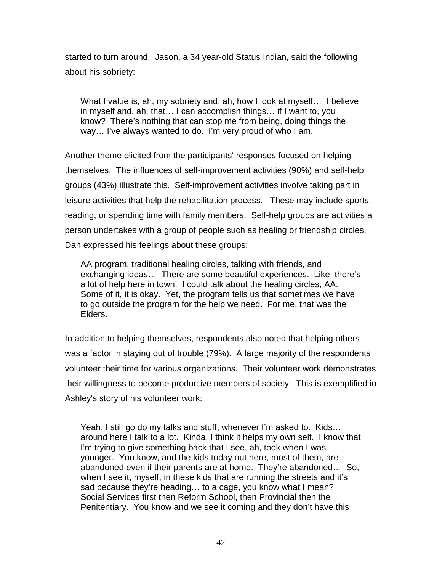started to turn around. Jason, a 34 year-old Status Indian, said the following about his sobriety:

What I value is, ah, my sobriety and, ah, how I look at myself... I believe in myself and, ah, that… I can accomplish things… if I want to, you know? There's nothing that can stop me from being, doing things the way… I've always wanted to do. I'm very proud of who I am.

Another theme elicited from the participants' responses focused on helping themselves. The influences of self-improvement activities (90%) and self-help groups (43%) illustrate this. Self-improvement activities involve taking part in leisure activities that help the rehabilitation process. These may include sports, reading, or spending time with family members. Self-help groups are activities a person undertakes with a group of people such as healing or friendship circles. Dan expressed his feelings about these groups:

AA program, traditional healing circles, talking with friends, and exchanging ideas… There are some beautiful experiences. Like, there's a lot of help here in town. I could talk about the healing circles, AA. Some of it, it is okay. Yet, the program tells us that sometimes we have to go outside the program for the help we need. For me, that was the Elders.

In addition to helping themselves, respondents also noted that helping others was a factor in staying out of trouble (79%). A large majority of the respondents volunteer their time for various organizations. Their volunteer work demonstrates their willingness to become productive members of society. This is exemplified in Ashley's story of his volunteer work:

Yeah, I still go do my talks and stuff, whenever I'm asked to. Kids… around here I talk to a lot. Kinda, I think it helps my own self. I know that I'm trying to give something back that I see, ah, took when I was younger. You know, and the kids today out here, most of them, are abandoned even if their parents are at home. They're abandoned… So, when I see it, myself, in these kids that are running the streets and it's sad because they're heading… to a cage, you know what I mean? Social Services first then Reform School, then Provincial then the Penitentiary. You know and we see it coming and they don't have this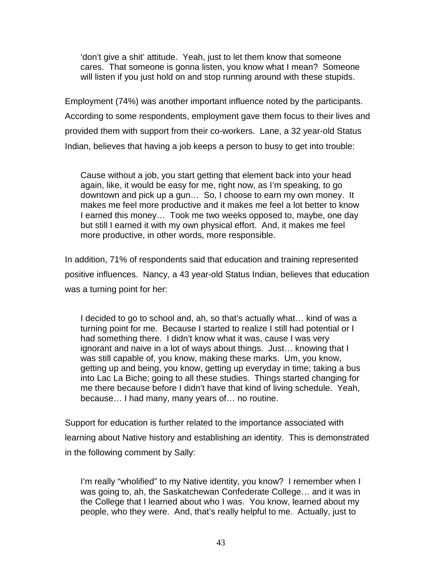'don't give a shit' attitude. Yeah, just to let them know that someone cares. That someone is gonna listen, you know what I mean? Someone will listen if you just hold on and stop running around with these stupids.

Employment (74%) was another important influence noted by the participants. According to some respondents, employment gave them focus to their lives and provided them with support from their co-workers. Lane, a 32 year-old Status Indian, believes that having a job keeps a person to busy to get into trouble:

Cause without a job, you start getting that element back into your head again, like, it would be easy for me, right now, as I'm speaking, to go downtown and pick up a gun… So, I choose to earn my own money. It makes me feel more productive and it makes me feel a lot better to know I earned this money… Took me two weeks opposed to, maybe, one day but still I earned it with my own physical effort. And, it makes me feel more productive, in other words, more responsible.

In addition, 71% of respondents said that education and training represented positive influences. Nancy, a 43 year-old Status Indian, believes that education was a turning point for her:

I decided to go to school and, ah, so that's actually what… kind of was a turning point for me. Because I started to realize I still had potential or I had something there. I didn't know what it was, cause I was very ignorant and naive in a lot of ways about things. Just… knowing that I was still capable of, you know, making these marks. Um, you know, getting up and being, you know, getting up everyday in time; taking a bus into Lac La Biche; going to all these studies. Things started changing for me there because before I didn't have that kind of living schedule. Yeah, because… I had many, many years of… no routine.

Support for education is further related to the importance associated with learning about Native history and establishing an identity. This is demonstrated in the following comment by Sally:

I'm really "wholified" to my Native identity, you know? I remember when I was going to, ah, the Saskatchewan Confederate College… and it was in the College that I learned about who I was. You know, learned about my people, who they were. And, that's really helpful to me. Actually, just to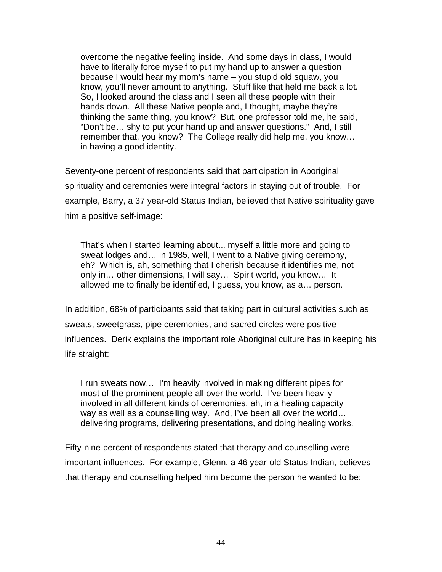overcome the negative feeling inside. And some days in class, I would have to literally force myself to put my hand up to answer a question because I would hear my mom's name – you stupid old squaw, you know, you'll never amount to anything. Stuff like that held me back a lot. So, I looked around the class and I seen all these people with their hands down. All these Native people and, I thought, maybe they're thinking the same thing, you know? But, one professor told me, he said, "Don't be… shy to put your hand up and answer questions." And, I still remember that, you know? The College really did help me, you know… in having a good identity.

Seventy-one percent of respondents said that participation in Aboriginal spirituality and ceremonies were integral factors in staying out of trouble. For example, Barry, a 37 year-old Status Indian, believed that Native spirituality gave him a positive self-image:

That's when I started learning about... myself a little more and going to sweat lodges and… in 1985, well, I went to a Native giving ceremony, eh? Which is, ah, something that I cherish because it identifies me, not only in… other dimensions, I will say… Spirit world, you know… It allowed me to finally be identified, I guess, you know, as a… person.

In addition, 68% of participants said that taking part in cultural activities such as sweats, sweetgrass, pipe ceremonies, and sacred circles were positive influences. Derik explains the important role Aboriginal culture has in keeping his life straight:

I run sweats now… I'm heavily involved in making different pipes for most of the prominent people all over the world. I've been heavily involved in all different kinds of ceremonies, ah, in a healing capacity way as well as a counselling way. And, I've been all over the world… delivering programs, delivering presentations, and doing healing works.

Fifty-nine percent of respondents stated that therapy and counselling were important influences. For example, Glenn, a 46 year-old Status Indian, believes that therapy and counselling helped him become the person he wanted to be: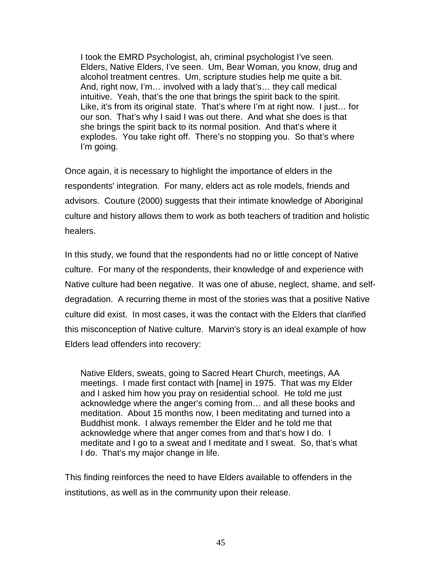I took the EMRD Psychologist, ah, criminal psychologist I've seen. Elders, Native Elders, I've seen. Um, Bear Woman, you know, drug and alcohol treatment centres. Um, scripture studies help me quite a bit. And, right now, I'm… involved with a lady that's… they call medical intuitive. Yeah, that's the one that brings the spirit back to the spirit. Like, it's from its original state. That's where I'm at right now. I just… for our son. That's why I said I was out there. And what she does is that she brings the spirit back to its normal position. And that's where it explodes. You take right off. There's no stopping you. So that's where I'm going.

Once again, it is necessary to highlight the importance of elders in the respondents' integration. For many, elders act as role models, friends and advisors. Couture (2000) suggests that their intimate knowledge of Aboriginal culture and history allows them to work as both teachers of tradition and holistic healers.

In this study, we found that the respondents had no or little concept of Native culture. For many of the respondents, their knowledge of and experience with Native culture had been negative. It was one of abuse, neglect, shame, and selfdegradation. A recurring theme in most of the stories was that a positive Native culture did exist. In most cases, it was the contact with the Elders that clarified this misconception of Native culture. Marvin's story is an ideal example of how Elders lead offenders into recovery:

Native Elders, sweats, going to Sacred Heart Church, meetings, AA meetings. I made first contact with [name] in 1975. That was my Elder and I asked him how you pray on residential school. He told me just acknowledge where the anger's coming from… and all these books and meditation. About 15 months now, I been meditating and turned into a Buddhist monk. I always remember the Elder and he told me that acknowledge where that anger comes from and that's how I do. I meditate and I go to a sweat and I meditate and I sweat. So, that's what I do. That's my major change in life.

This finding reinforces the need to have Elders available to offenders in the institutions, as well as in the community upon their release.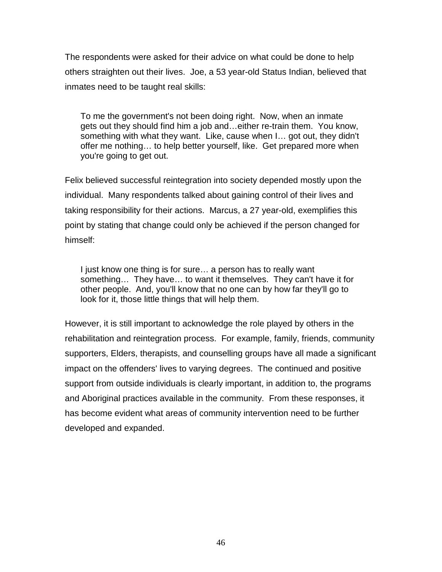The respondents were asked for their advice on what could be done to help others straighten out their lives. Joe, a 53 year-old Status Indian, believed that inmates need to be taught real skills:

To me the government's not been doing right. Now, when an inmate gets out they should find him a job and…either re-train them. You know, something with what they want. Like, cause when I… got out, they didn't offer me nothing… to help better yourself, like. Get prepared more when you're going to get out.

Felix believed successful reintegration into society depended mostly upon the individual. Many respondents talked about gaining control of their lives and taking responsibility for their actions. Marcus, a 27 year-old, exemplifies this point by stating that change could only be achieved if the person changed for himself:

I just know one thing is for sure… a person has to really want something… They have… to want it themselves. They can't have it for other people. And, you'll know that no one can by how far they'll go to look for it, those little things that will help them.

However, it is still important to acknowledge the role played by others in the rehabilitation and reintegration process. For example, family, friends, community supporters, Elders, therapists, and counselling groups have all made a significant impact on the offenders' lives to varying degrees. The continued and positive support from outside individuals is clearly important, in addition to, the programs and Aboriginal practices available in the community. From these responses, it has become evident what areas of community intervention need to be further developed and expanded.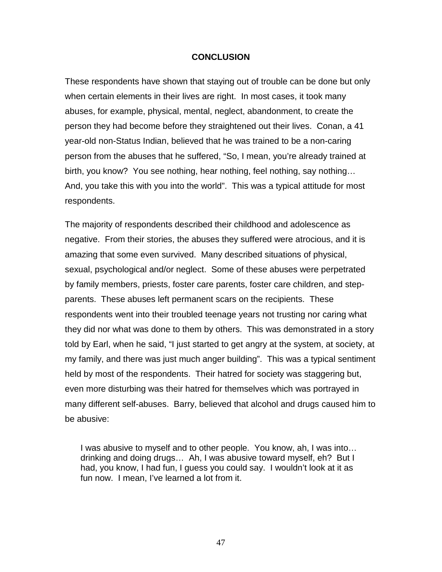#### **CONCLUSION**

These respondents have shown that staying out of trouble can be done but only when certain elements in their lives are right. In most cases, it took many abuses, for example, physical, mental, neglect, abandonment, to create the person they had become before they straightened out their lives. Conan, a 41 year-old non-Status Indian, believed that he was trained to be a non-caring person from the abuses that he suffered, "So, I mean, you're already trained at birth, you know? You see nothing, hear nothing, feel nothing, say nothing… And, you take this with you into the world". This was a typical attitude for most respondents.

The majority of respondents described their childhood and adolescence as negative. From their stories, the abuses they suffered were atrocious, and it is amazing that some even survived. Many described situations of physical, sexual, psychological and/or neglect. Some of these abuses were perpetrated by family members, priests, foster care parents, foster care children, and stepparents. These abuses left permanent scars on the recipients. These respondents went into their troubled teenage years not trusting nor caring what they did nor what was done to them by others. This was demonstrated in a story told by Earl, when he said, "I just started to get angry at the system, at society, at my family, and there was just much anger building". This was a typical sentiment held by most of the respondents. Their hatred for society was staggering but, even more disturbing was their hatred for themselves which was portrayed in many different self-abuses. Barry, believed that alcohol and drugs caused him to be abusive:

I was abusive to myself and to other people. You know, ah, I was into… drinking and doing drugs… Ah, I was abusive toward myself, eh? But I had, you know, I had fun, I guess you could say. I wouldn't look at it as fun now. I mean, I've learned a lot from it.

47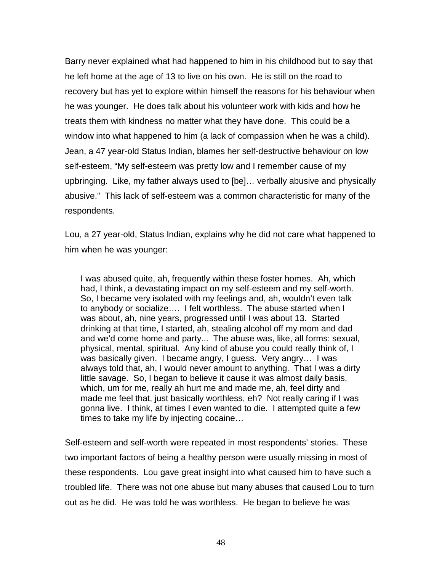Barry never explained what had happened to him in his childhood but to say that he left home at the age of 13 to live on his own. He is still on the road to recovery but has yet to explore within himself the reasons for his behaviour when he was younger. He does talk about his volunteer work with kids and how he treats them with kindness no matter what they have done. This could be a window into what happened to him (a lack of compassion when he was a child). Jean, a 47 year-old Status Indian, blames her self-destructive behaviour on low self-esteem, "My self-esteem was pretty low and I remember cause of my upbringing. Like, my father always used to [be]… verbally abusive and physically abusive." This lack of self-esteem was a common characteristic for many of the respondents.

Lou, a 27 year-old, Status Indian, explains why he did not care what happened to him when he was younger:

I was abused quite, ah, frequently within these foster homes. Ah, which had, I think, a devastating impact on my self-esteem and my self-worth. So, I became very isolated with my feelings and, ah, wouldn't even talk to anybody or socialize…. I felt worthless. The abuse started when I was about, ah, nine years, progressed until I was about 13. Started drinking at that time, I started, ah, stealing alcohol off my mom and dad and we'd come home and party... The abuse was, like, all forms: sexual, physical, mental, spiritual. Any kind of abuse you could really think of, I was basically given. I became angry, I guess. Very angry… I was always told that, ah, I would never amount to anything. That I was a dirty little savage. So, I began to believe it cause it was almost daily basis, which, um for me, really ah hurt me and made me, ah, feel dirty and made me feel that, just basically worthless, eh? Not really caring if I was gonna live. I think, at times I even wanted to die. I attempted quite a few times to take my life by injecting cocaine…

Self-esteem and self-worth were repeated in most respondents' stories. These two important factors of being a healthy person were usually missing in most of these respondents. Lou gave great insight into what caused him to have such a troubled life. There was not one abuse but many abuses that caused Lou to turn out as he did. He was told he was worthless. He began to believe he was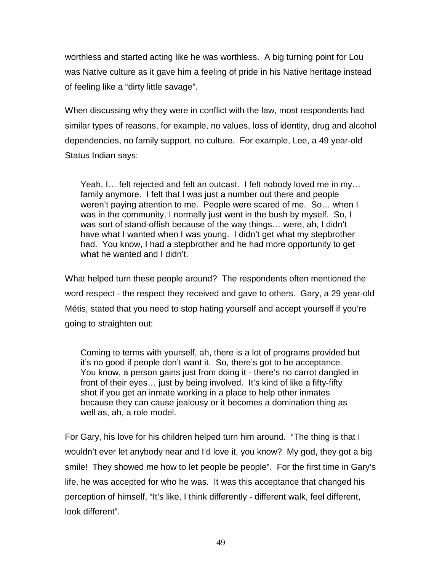worthless and started acting like he was worthless. A big turning point for Lou was Native culture as it gave him a feeling of pride in his Native heritage instead of feeling like a "dirty little savage".

When discussing why they were in conflict with the law, most respondents had similar types of reasons, for example, no values, loss of identity, drug and alcohol dependencies, no family support, no culture. For example, Lee, a 49 year-old Status Indian says:

Yeah, I… felt rejected and felt an outcast. I felt nobody loved me in my… family anymore. I felt that I was just a number out there and people weren't paying attention to me. People were scared of me. So… when I was in the community, I normally just went in the bush by myself. So, I was sort of stand-offish because of the way things… were, ah, I didn't have what I wanted when I was young. I didn't get what my stepbrother had. You know, I had a stepbrother and he had more opportunity to get what he wanted and I didn't.

What helped turn these people around? The respondents often mentioned the word respect - the respect they received and gave to others. Gary, a 29 year-old Métis, stated that you need to stop hating yourself and accept yourself if you're going to straighten out:

Coming to terms with yourself, ah, there is a lot of programs provided but it's no good if people don't want it. So, there's got to be acceptance. You know, a person gains just from doing it - there's no carrot dangled in front of their eyes… just by being involved. It's kind of like a fifty-fifty shot if you get an inmate working in a place to help other inmates because they can cause jealousy or it becomes a domination thing as well as, ah, a role model.

For Gary, his love for his children helped turn him around. "The thing is that I wouldn't ever let anybody near and I'd love it, you know? My god, they got a big smile! They showed me how to let people be people". For the first time in Gary's life, he was accepted for who he was. It was this acceptance that changed his perception of himself, "It's like, I think differently - different walk, feel different, look different".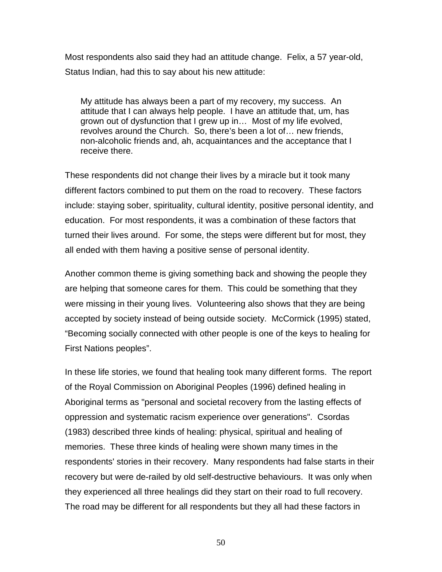Most respondents also said they had an attitude change. Felix, a 57 year-old, Status Indian, had this to say about his new attitude:

My attitude has always been a part of my recovery, my success. An attitude that I can always help people. I have an attitude that, um, has grown out of dysfunction that I grew up in… Most of my life evolved, revolves around the Church. So, there's been a lot of… new friends, non-alcoholic friends and, ah, acquaintances and the acceptance that I receive there.

These respondents did not change their lives by a miracle but it took many different factors combined to put them on the road to recovery. These factors include: staying sober, spirituality, cultural identity, positive personal identity, and education. For most respondents, it was a combination of these factors that turned their lives around. For some, the steps were different but for most, they all ended with them having a positive sense of personal identity.

Another common theme is giving something back and showing the people they are helping that someone cares for them. This could be something that they were missing in their young lives. Volunteering also shows that they are being accepted by society instead of being outside society. McCormick (1995) stated, "Becoming socially connected with other people is one of the keys to healing for First Nations peoples".

In these life stories, we found that healing took many different forms. The report of the Royal Commission on Aboriginal Peoples (1996) defined healing in Aboriginal terms as "personal and societal recovery from the lasting effects of oppression and systematic racism experience over generations". Csordas (1983) described three kinds of healing: physical, spiritual and healing of memories. These three kinds of healing were shown many times in the respondents' stories in their recovery. Many respondents had false starts in their recovery but were de-railed by old self-destructive behaviours. It was only when they experienced all three healings did they start on their road to full recovery. The road may be different for all respondents but they all had these factors in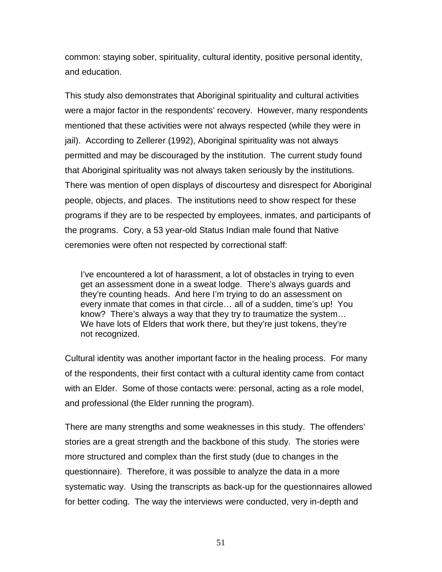common: staying sober, spirituality, cultural identity, positive personal identity, and education.

This study also demonstrates that Aboriginal spirituality and cultural activities were a major factor in the respondents' recovery. However, many respondents mentioned that these activities were not always respected (while they were in jail). According to Zellerer (1992), Aboriginal spirituality was not always permitted and may be discouraged by the institution. The current study found that Aboriginal spirituality was not always taken seriously by the institutions. There was mention of open displays of discourtesy and disrespect for Aboriginal people, objects, and places. The institutions need to show respect for these programs if they are to be respected by employees, inmates, and participants of the programs. Cory, a 53 year-old Status Indian male found that Native ceremonies were often not respected by correctional staff:

I've encountered a lot of harassment, a lot of obstacles in trying to even get an assessment done in a sweat lodge. There's always guards and they're counting heads. And here I'm trying to do an assessment on every inmate that comes in that circle… all of a sudden, time's up! You know? There's always a way that they try to traumatize the system… We have lots of Elders that work there, but they're just tokens, they're not recognized.

Cultural identity was another important factor in the healing process. For many of the respondents, their first contact with a cultural identity came from contact with an Elder. Some of those contacts were: personal, acting as a role model, and professional (the Elder running the program).

There are many strengths and some weaknesses in this study. The offenders' stories are a great strength and the backbone of this study. The stories were more structured and complex than the first study (due to changes in the questionnaire). Therefore, it was possible to analyze the data in a more systematic way. Using the transcripts as back-up for the questionnaires allowed for better coding. The way the interviews were conducted, very in-depth and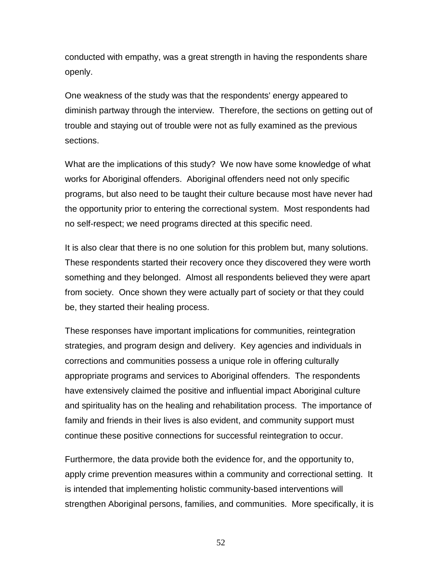conducted with empathy, was a great strength in having the respondents share openly.

One weakness of the study was that the respondents' energy appeared to diminish partway through the interview. Therefore, the sections on getting out of trouble and staying out of trouble were not as fully examined as the previous sections.

What are the implications of this study? We now have some knowledge of what works for Aboriginal offenders. Aboriginal offenders need not only specific programs, but also need to be taught their culture because most have never had the opportunity prior to entering the correctional system. Most respondents had no self-respect; we need programs directed at this specific need.

It is also clear that there is no one solution for this problem but, many solutions. These respondents started their recovery once they discovered they were worth something and they belonged. Almost all respondents believed they were apart from society. Once shown they were actually part of society or that they could be, they started their healing process.

These responses have important implications for communities, reintegration strategies, and program design and delivery. Key agencies and individuals in corrections and communities possess a unique role in offering culturally appropriate programs and services to Aboriginal offenders. The respondents have extensively claimed the positive and influential impact Aboriginal culture and spirituality has on the healing and rehabilitation process. The importance of family and friends in their lives is also evident, and community support must continue these positive connections for successful reintegration to occur.

Furthermore, the data provide both the evidence for, and the opportunity to, apply crime prevention measures within a community and correctional setting. It is intended that implementing holistic community-based interventions will strengthen Aboriginal persons, families, and communities. More specifically, it is

52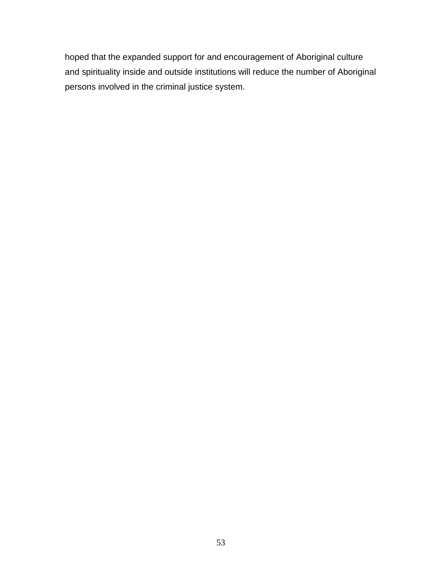hoped that the expanded support for and encouragement of Aboriginal culture and spirituality inside and outside institutions will reduce the number of Aboriginal persons involved in the criminal justice system.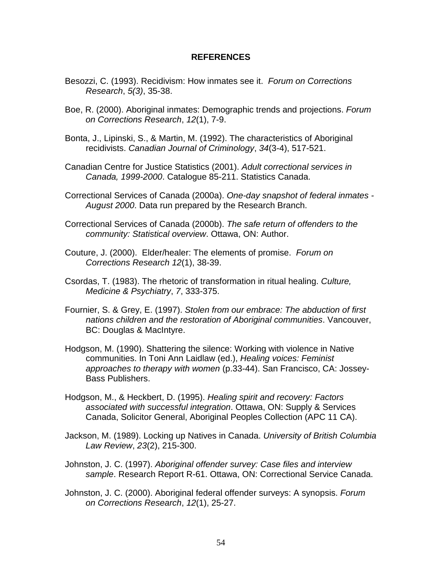#### **REFERENCES**

- Besozzi, C. (1993). Recidivism: How inmates see it. *Forum on Corrections Research*, *5(3)*, 35-38.
- Boe, R. (2000). Aboriginal inmates: Demographic trends and projections. *Forum on Corrections Research*, *12*(1), 7-9.
- Bonta, J., Lipinski, S., & Martin, M. (1992). The characteristics of Aboriginal recidivists. *Canadian Journal of Criminology*, *34*(3-4), 517-521.
- Canadian Centre for Justice Statistics (2001). *Adult correctional services in Canada, 1999-2000*. Catalogue 85-211. Statistics Canada.
- Correctional Services of Canada (2000a). *One-day snapshot of federal inmates - August 2000*. Data run prepared by the Research Branch.
- Correctional Services of Canada (2000b). *The safe return of offenders to the community: Statistical overview*. Ottawa, ON: Author.
- Couture, J. (2000). Elder/healer: The elements of promise. *Forum on Corrections Research 12*(1), 38-39.
- Csordas, T. (1983). The rhetoric of transformation in ritual healing. *Culture, Medicine & Psychiatry*, *7*, 333-375.
- Fournier, S. & Grey, E. (1997). *Stolen from our embrace: The abduction of first nations children and the restoration of Aboriginal communities*. Vancouver, BC: Douglas & MacIntyre.
- Hodgson, M. (1990). Shattering the silence: Working with violence in Native communities. In Toni Ann Laidlaw (ed.), *Healing voices: Feminist approaches to therapy with women* (p.33-44). San Francisco, CA: Jossey-Bass Publishers.
- Hodgson, M., & Heckbert, D. (1995). *Healing spirit and recovery: Factors associated with successful integration*. Ottawa, ON: Supply & Services Canada, Solicitor General, Aboriginal Peoples Collection (APC 11 CA).
- Jackson, M. (1989). Locking up Natives in Canada. *University of British Columbia Law Review*, *23*(2), 215-300.
- Johnston, J. C. (1997). *Aboriginal offender survey: Case files and interview sample*. Research Report R-61. Ottawa, ON: Correctional Service Canada.
- Johnston, J. C. (2000). Aboriginal federal offender surveys: A synopsis. *Forum on Corrections Research*, *12*(1), 25-27.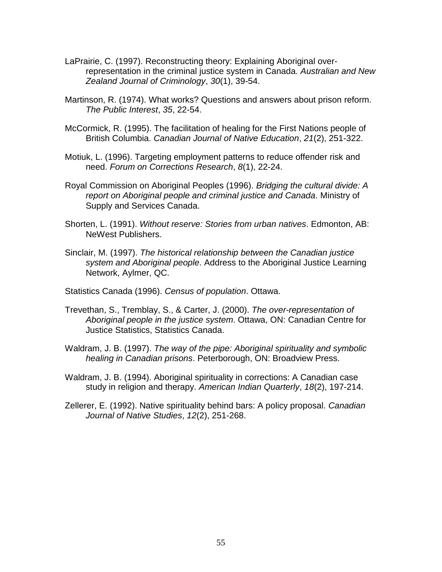- LaPrairie, C. (1997). Reconstructing theory: Explaining Aboriginal overrepresentation in the criminal justice system in Canada. *Australian and New Zealand Journal of Criminology*, *30*(1), 39-54.
- Martinson, R. (1974). What works? Questions and answers about prison reform. *The Public Interest*, *35*, 22-54.
- McCormick, R. (1995). The facilitation of healing for the First Nations people of British Columbia. *Canadian Journal of Native Education*, *21*(2), 251-322.
- Motiuk, L. (1996). Targeting employment patterns to reduce offender risk and need. *Forum on Corrections Research*, *8*(1), 22-24.
- Royal Commission on Aboriginal Peoples (1996). *Bridging the cultural divide: A report on Aboriginal people and criminal justice and Canada*. Ministry of Supply and Services Canada.
- Shorten, L. (1991). *Without reserve: Stories from urban natives*. Edmonton, AB: NeWest Publishers.
- Sinclair, M. (1997). *The historical relationship between the Canadian justice system and Aboriginal people*. Address to the Aboriginal Justice Learning Network, Aylmer, QC.
- Statistics Canada (1996). *Census of population*. Ottawa.
- Trevethan, S., Tremblay, S., & Carter, J. (2000). *The over-representation of Aboriginal people in the justice system*. Ottawa, ON: Canadian Centre for Justice Statistics, Statistics Canada.
- Waldram, J. B. (1997). *The way of the pipe: Aboriginal spirituality and symbolic healing in Canadian prisons*. Peterborough, ON: Broadview Press.
- Waldram, J. B. (1994). Aboriginal spirituality in corrections: A Canadian case study in religion and therapy. *American Indian Quarterly*, *18*(2), 197-214.
- Zellerer, E. (1992). Native spirituality behind bars: A policy proposal. *Canadian Journal of Native Studies*, *12*(2), 251-268.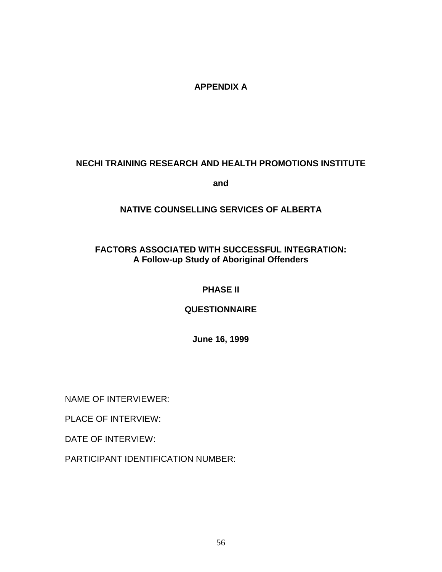# **APPENDIX A**

# **NECHI TRAINING RESEARCH AND HEALTH PROMOTIONS INSTITUTE**

**and**

# **NATIVE COUNSELLING SERVICES OF ALBERTA**

# **FACTORS ASSOCIATED WITH SUCCESSFUL INTEGRATION: A Follow-up Study of Aboriginal Offenders**

# **PHASE II**

## **QUESTIONNAIRE**

**June 16, 1999**

NAME OF INTERVIEWER:

PLACE OF INTERVIEW:

DATE OF INTERVIEW:

PARTICIPANT IDENTIFICATION NUMBER: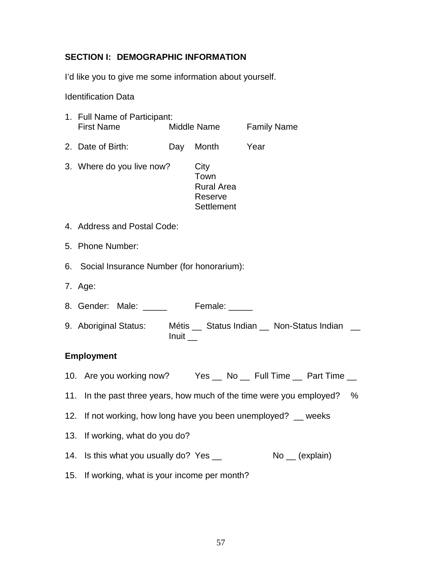## **SECTION I: DEMOGRAPHIC INFORMATION**

I'd like you to give me some information about yourself.

Identification Data

| 1. Full Name of Participant:<br><b>First Name</b> | Middle Name |                                                            | <b>Family Name</b> |
|---------------------------------------------------|-------------|------------------------------------------------------------|--------------------|
| 2. Date of Birth:                                 | Day         | Month                                                      | Year               |
| 3. Where do you live now?                         |             | City<br>Town<br><b>Rural Area</b><br>Reserve<br>Settlement |                    |
| 4. Address and Postal Code:                       |             |                                                            |                    |

- 5. Phone Number:
- 6. Social Insurance Number (for honorarium):
- 7. Age:
- 8. Gender: Male: \_\_\_\_\_\_ Female: \_\_\_\_
- 9. Aboriginal Status: Métis \_\_ Status Indian \_\_ Non-Status Indian \_\_  $Inuit$

## **Employment**

- 10. Are you working now? Yes \_ No \_ Full Time \_ Part Time \_
- 11. In the past three years, how much of the time were you employed? %
- 12. If not working, how long have you been unemployed? \_\_ weeks
- 13. If working, what do you do?
- 14. Is this what you usually do? Yes \_\_ No \_ (explain)
- 15. If working, what is your income per month?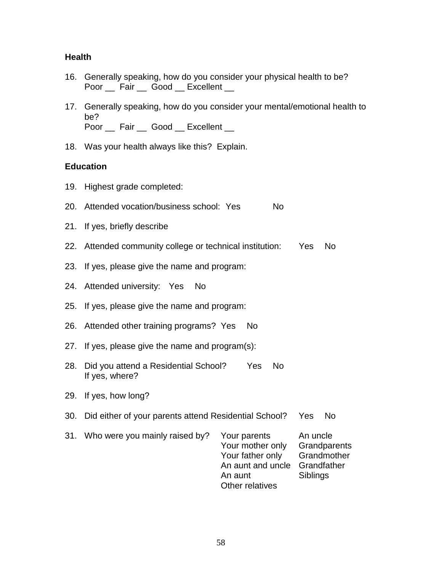### **Health**

|                          |  | 16. Generally speaking, how do you consider your physical health to be? |
|--------------------------|--|-------------------------------------------------------------------------|
| Poor Fair Good Excellent |  |                                                                         |

- 17. Generally speaking, how do you consider your mental/emotional health to be? Poor Fair Good Excellent
- 18. Was your health always like this? Explain.

### **Education**

- 19. Highest grade completed:
- 20. Attended vocation/business school: Yes No
- 21. If yes, briefly describe
- 22. Attended community college or technical institution: Yes No
- 23. If yes, please give the name and program:
- 24. Attended university: Yes No
- 25. If yes, please give the name and program:
- 26. Attended other training programs? Yes No
- 27. If yes, please give the name and program(s):
- 28. Did you attend a Residential School? Yes No If yes, where?
- 29. If yes, how long?
- 30. Did either of your parents attend Residential School? Yes No
- 31. Who were you mainly raised by? Your parents An uncle Your mother only Grandparents Your father only Grandmother An aunt and uncle Grandfather An aunt Siblings Other relatives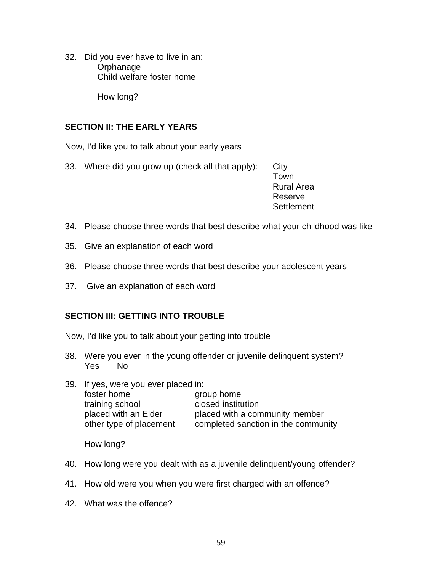32. Did you ever have to live in an: **Orphanage** Child welfare foster home

How long?

## **SECTION II: THE EARLY YEARS**

Now, I'd like you to talk about your early years

33. Where did you grow up (check all that apply): City

Town Rural Area Reserve **Settlement** 

- 34. Please choose three words that best describe what your childhood was like
- 35. Give an explanation of each word
- 36. Please choose three words that best describe your adolescent years
- 37. Give an explanation of each word

## **SECTION III: GETTING INTO TROUBLE**

- Now, I'd like you to talk about your getting into trouble
- 38. Were you ever in the young offender or juvenile delinquent system? Yes No
- 39. If yes, were you ever placed in: foster home group home training school closed institution placed with an Elder **placed with a community member** other type of placement completed sanction in the community

How long?

- 40. How long were you dealt with as a juvenile delinquent/young offender?
- 41. How old were you when you were first charged with an offence?
- 42. What was the offence?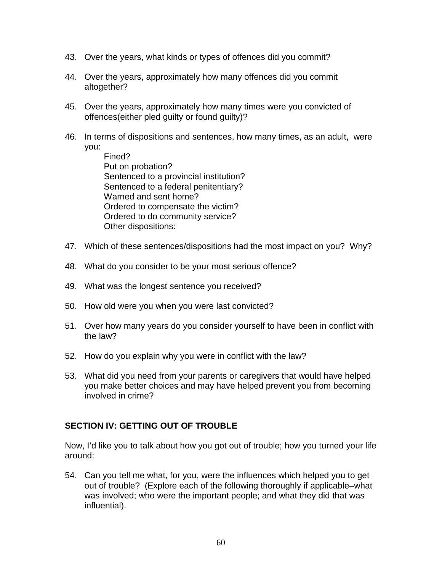- 43. Over the years, what kinds or types of offences did you commit?
- 44. Over the years, approximately how many offences did you commit altogether?
- 45. Over the years, approximately how many times were you convicted of offences(either pled guilty or found guilty)?
- 46. In terms of dispositions and sentences, how many times, as an adult, were you:
	- Fined? Put on probation? Sentenced to a provincial institution? Sentenced to a federal penitentiary? Warned and sent home? Ordered to compensate the victim? Ordered to do community service? Other dispositions:
- 47. Which of these sentences/dispositions had the most impact on you? Why?
- 48. What do you consider to be your most serious offence?
- 49. What was the longest sentence you received?
- 50. How old were you when you were last convicted?
- 51. Over how many years do you consider yourself to have been in conflict with the law?
- 52. How do you explain why you were in conflict with the law?
- 53. What did you need from your parents or caregivers that would have helped you make better choices and may have helped prevent you from becoming involved in crime?

## **SECTION IV: GETTING OUT OF TROUBLE**

Now, I'd like you to talk about how you got out of trouble; how you turned your life around:

54. Can you tell me what, for you, were the influences which helped you to get out of trouble? (Explore each of the following thoroughly if applicable–what was involved; who were the important people; and what they did that was influential).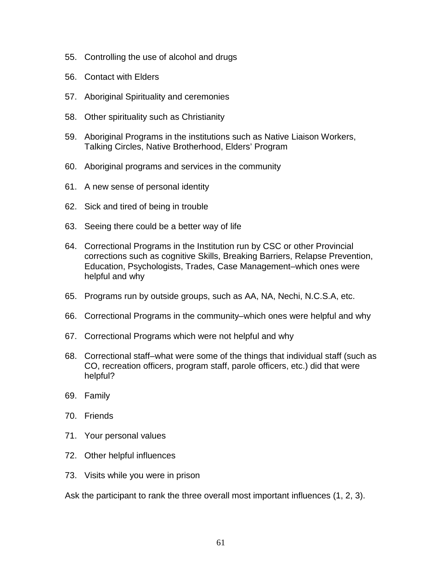- 55. Controlling the use of alcohol and drugs
- 56. Contact with Elders
- 57. Aboriginal Spirituality and ceremonies
- 58. Other spirituality such as Christianity
- 59. Aboriginal Programs in the institutions such as Native Liaison Workers, Talking Circles, Native Brotherhood, Elders' Program
- 60. Aboriginal programs and services in the community
- 61. A new sense of personal identity
- 62. Sick and tired of being in trouble
- 63. Seeing there could be a better way of life
- 64. Correctional Programs in the Institution run by CSC or other Provincial corrections such as cognitive Skills, Breaking Barriers, Relapse Prevention, Education, Psychologists, Trades, Case Management–which ones were helpful and why
- 65. Programs run by outside groups, such as AA, NA, Nechi, N.C.S.A, etc.
- 66. Correctional Programs in the community–which ones were helpful and why
- 67. Correctional Programs which were not helpful and why
- 68. Correctional staff–what were some of the things that individual staff (such as CO, recreation officers, program staff, parole officers, etc.) did that were helpful?
- 69. Family
- 70. Friends
- 71. Your personal values
- 72. Other helpful influences
- 73. Visits while you were in prison

Ask the participant to rank the three overall most important influences (1, 2, 3).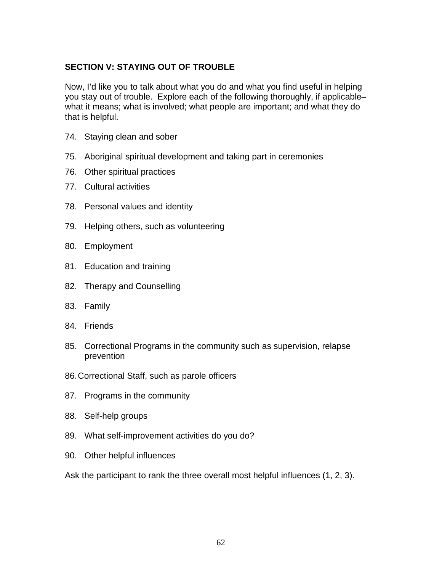# **SECTION V: STAYING OUT OF TROUBLE**

Now, I'd like you to talk about what you do and what you find useful in helping you stay out of trouble. Explore each of the following thoroughly, if applicable– what it means; what is involved; what people are important; and what they do that is helpful.

- 74. Staying clean and sober
- 75. Aboriginal spiritual development and taking part in ceremonies
- 76. Other spiritual practices
- 77. Cultural activities
- 78. Personal values and identity
- 79. Helping others, such as volunteering
- 80. Employment
- 81. Education and training
- 82. Therapy and Counselling
- 83. Family
- 84. Friends
- 85. Correctional Programs in the community such as supervision, relapse prevention
- 86. Correctional Staff, such as parole officers
- 87. Programs in the community
- 88. Self-help groups
- 89. What self-improvement activities do you do?
- 90. Other helpful influences

Ask the participant to rank the three overall most helpful influences (1, 2, 3).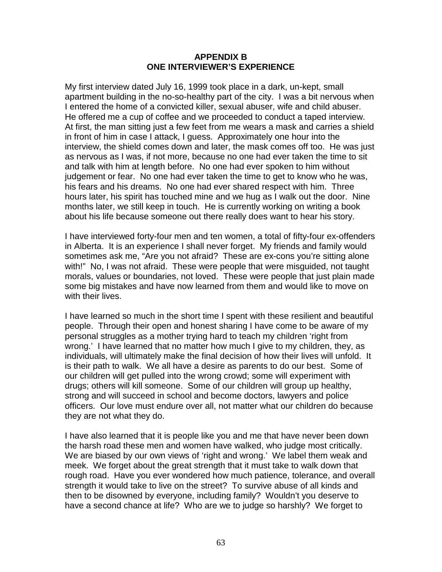### **APPENDIX B ONE INTERVIEWER'S EXPERIENCE**

My first interview dated July 16, 1999 took place in a dark, un-kept, small apartment building in the no-so-healthy part of the city. I was a bit nervous when I entered the home of a convicted killer, sexual abuser, wife and child abuser. He offered me a cup of coffee and we proceeded to conduct a taped interview. At first, the man sitting just a few feet from me wears a mask and carries a shield in front of him in case I attack, I guess. Approximately one hour into the interview, the shield comes down and later, the mask comes off too. He was just as nervous as I was, if not more, because no one had ever taken the time to sit and talk with him at length before. No one had ever spoken to him without judgement or fear. No one had ever taken the time to get to know who he was, his fears and his dreams. No one had ever shared respect with him. Three hours later, his spirit has touched mine and we hug as I walk out the door. Nine months later, we still keep in touch. He is currently working on writing a book about his life because someone out there really does want to hear his story.

I have interviewed forty-four men and ten women, a total of fifty-four ex-offenders in Alberta. It is an experience I shall never forget. My friends and family would sometimes ask me, "Are you not afraid? These are ex-cons you're sitting alone with!" No, I was not afraid. These were people that were misguided, not taught morals, values or boundaries, not loved. These were people that just plain made some big mistakes and have now learned from them and would like to move on with their lives.

I have learned so much in the short time I spent with these resilient and beautiful people. Through their open and honest sharing I have come to be aware of my personal struggles as a mother trying hard to teach my children 'right from wrong.' I have learned that no matter how much I give to my children, they, as individuals, will ultimately make the final decision of how their lives will unfold. It is their path to walk. We all have a desire as parents to do our best. Some of our children will get pulled into the wrong crowd; some will experiment with drugs; others will kill someone. Some of our children will group up healthy, strong and will succeed in school and become doctors, lawyers and police officers. Our love must endure over all, not matter what our children do because they are not what they do.

I have also learned that it is people like you and me that have never been down the harsh road these men and women have walked, who judge most critically. We are biased by our own views of 'right and wrong.' We label them weak and meek. We forget about the great strength that it must take to walk down that rough road. Have you ever wondered how much patience, tolerance, and overall strength it would take to live on the street? To survive abuse of all kinds and then to be disowned by everyone, including family? Wouldn't you deserve to have a second chance at life? Who are we to judge so harshly? We forget to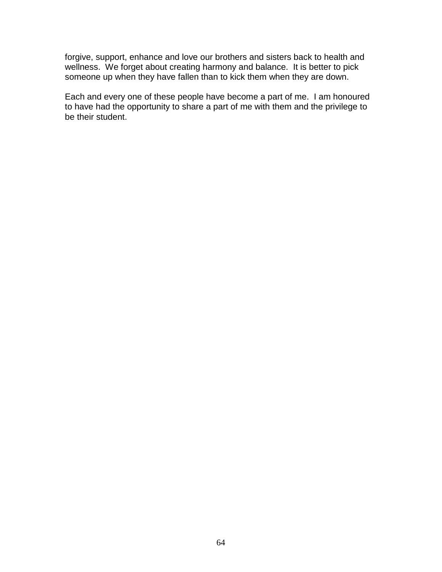forgive, support, enhance and love our brothers and sisters back to health and wellness. We forget about creating harmony and balance. It is better to pick someone up when they have fallen than to kick them when they are down.

Each and every one of these people have become a part of me. I am honoured to have had the opportunity to share a part of me with them and the privilege to be their student.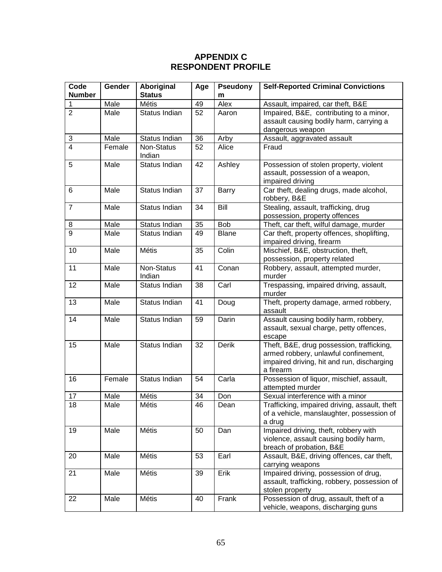## **APPENDIX C RESPONDENT PROFILE**

| Code           | Gender | Aboriginal           | Age | <b>Pseudony</b> | <b>Self-Reported Criminal Convictions</b>                                                                                                    |
|----------------|--------|----------------------|-----|-----------------|----------------------------------------------------------------------------------------------------------------------------------------------|
| <b>Number</b>  |        | <b>Status</b>        |     | m               |                                                                                                                                              |
| 1              | Male   | Métis                | 49  | Alex            | Assault, impaired, car theft, B&E                                                                                                            |
| $\overline{2}$ | Male   | Status Indian        | 52  | Aaron           | Impaired, B&E, contributing to a minor,                                                                                                      |
|                |        |                      |     |                 | assault causing bodily harm, carrying a                                                                                                      |
|                |        |                      |     |                 | dangerous weapon                                                                                                                             |
| 3              | Male   | Status Indian        | 36  | Arby            | Assault, aggravated assault                                                                                                                  |
| $\overline{4}$ | Female | Non-Status<br>Indian | 52  | Alice           | Fraud                                                                                                                                        |
| 5              | Male   | Status Indian        | 42  | Ashley          | Possession of stolen property, violent<br>assault, possession of a weapon,<br>impaired driving                                               |
| 6              | Male   | Status Indian        | 37  | Barry           | Car theft, dealing drugs, made alcohol,<br>robbery, B&E                                                                                      |
| $\overline{7}$ | Male   | Status Indian        | 34  | Bill            | Stealing, assault, trafficking, drug<br>possession, property offences                                                                        |
| 8              | Male   | Status Indian        | 35  | <b>Bob</b>      | Theft, car theft, wilful damage, murder                                                                                                      |
| 9              | Male   | Status Indian        | 49  | <b>Blane</b>    | Car theft, property offences, shoplifting,<br>impaired driving, firearm                                                                      |
| 10             | Male   | Métis                | 35  | Colin           | Mischief, B&E, obstruction, theft,<br>possession, property related                                                                           |
| 11             | Male   | Non-Status<br>Indian | 41  | Conan           | Robbery, assault, attempted murder,<br>murder                                                                                                |
| 12             | Male   | Status Indian        | 38  | Carl            | Trespassing, impaired driving, assault,<br>murder                                                                                            |
| 13             | Male   | Status Indian        | 41  | Doug            | Theft, property damage, armed robbery,<br>assault                                                                                            |
| 14             | Male   | Status Indian        | 59  | Darin           | Assault causing bodily harm, robbery,<br>assault, sexual charge, petty offences,<br>escape                                                   |
| 15             | Male   | Status Indian        | 32  | Derik           | Theft, B&E, drug possession, trafficking,<br>armed robbery, unlawful confinement,<br>impaired driving, hit and run, discharging<br>a firearm |
| 16             | Female | Status Indian        | 54  | Carla           | Possession of liquor, mischief, assault,<br>attempted murder                                                                                 |
| 17             | Male   | Métis                | 34  | Don             | Sexual interference with a minor                                                                                                             |
| 18             | Male   | Métis                | 46  | Dean            | Trafficking, impaired driving, assault, theft<br>of a vehicle, manslaughter, possession of<br>a drug                                         |
| 19             | Male   | Métis                | 50  | Dan             | Impaired driving, theft, robbery with<br>violence, assault causing bodily harm,<br>breach of probation, B&E                                  |
| 20             | Male   | Métis                | 53  | Earl            | Assault, B&E, driving offences, car theft,<br>carrying weapons                                                                               |
| 21             | Male   | Métis                | 39  | Erik            | Impaired driving, possession of drug,<br>assault, trafficking, robbery, possession of<br>stolen property                                     |
| 22             | Male   | <b>Métis</b>         | 40  | Frank           | Possession of drug, assault, theft of a<br>vehicle, weapons, discharging guns                                                                |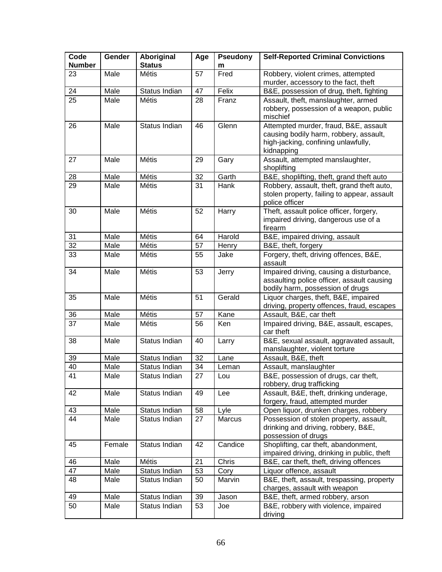| Code<br><b>Number</b> | Gender | Aboriginal<br><b>Status</b> | Age             | <b>Pseudony</b><br>m | <b>Self-Reported Criminal Convictions</b>                                                                                            |
|-----------------------|--------|-----------------------------|-----------------|----------------------|--------------------------------------------------------------------------------------------------------------------------------------|
| 23                    | Male   | Métis                       | 57              | Fred                 | Robbery, violent crimes, attempted<br>murder, accessory to the fact, theft                                                           |
| 24                    | Male   | Status Indian               | 47              | Felix                | B&E, possession of drug, theft, fighting                                                                                             |
| 25                    | Male   | <b>Métis</b>                | 28              | Franz                | Assault, theft, manslaughter, armed                                                                                                  |
|                       |        |                             |                 |                      | robbery, possession of a weapon, public<br>mischief                                                                                  |
| 26                    | Male   | Status Indian               | 46              | Glenn                | Attempted murder, fraud, B&E, assault<br>causing bodily harm, robbery, assault,<br>high-jacking, confining unlawfully,<br>kidnapping |
| 27                    | Male   | Métis                       | 29              | Gary                 | Assault, attempted manslaughter,<br>shoplifting                                                                                      |
| 28                    | Male   | Métis                       | 32              | Garth                | B&E, shoplifting, theft, grand theft auto                                                                                            |
| 29                    | Male   | Métis                       | 31              | Hank                 | Robbery, assault, theft, grand theft auto,<br>stolen property, failing to appear, assault<br>police officer                          |
| 30                    | Male   | <b>Métis</b>                | 52              | Harry                | Theft, assault police officer, forgery,<br>impaired driving, dangerous use of a<br>firearm                                           |
| 31                    | Male   | Métis                       | 64              | Harold               | B&E, impaired driving, assault                                                                                                       |
| $\overline{32}$       | Male   | Métis                       | 57              | Henry                | B&E, theft, forgery                                                                                                                  |
| 33                    | Male   | Métis                       | 55              | Jake                 | Forgery, theft, driving offences, B&E,<br>assault                                                                                    |
| 34                    | Male   | <b>Métis</b>                | 53              | Jerry                | Impaired driving, causing a disturbance,<br>assaulting police officer, assault causing<br>bodily harm, possession of drugs           |
| 35                    | Male   | Métis                       | 51              | Gerald               | Liquor charges, theft, B&E, impaired<br>driving, property offences, fraud, escapes                                                   |
| 36                    | Male   | Métis                       | 57              | Kane                 | Assault, B&E, car theft                                                                                                              |
| 37                    | Male   | <b>Métis</b>                | 56              | Ken                  | Impaired driving, B&E, assault, escapes,<br>car theft                                                                                |
| 38                    | Male   | Status Indian               | 40              | Larry                | B&E, sexual assault, aggravated assault,<br>manslaughter, violent torture                                                            |
| 39                    | Male   | Status Indian               | 32              | Lane                 | Assault, B&E, theft                                                                                                                  |
| 40                    | Male   | Status Indian               | 34              | Leman                | Assault, manslaughter                                                                                                                |
| 41                    | Male   | Status Indian               | $\overline{27}$ | Lou                  | B&E, possession of drugs, car theft,<br>robbery, drug trafficking                                                                    |
| 42                    | Male   | Status Indian               | 49              | Lee                  | Assault, B&E, theft, drinking underage,<br>forgery, fraud, attempted murder                                                          |
| 43                    | Male   | Status Indian               | 58              | Lyle                 | Open liquor, drunken charges, robbery                                                                                                |
| 44                    | Male   | Status Indian               | 27              | Marcus               | Possession of stolen property, assault,<br>drinking and driving, robbery, B&E,<br>possession of drugs                                |
| 45                    | Female | Status Indian               | 42              | Candice              | Shoplifting, car theft, abandonment,<br>impaired driving, drinking in public, theft                                                  |
| 46                    | Male   | Métis                       | 21              | Chris                | B&E, car theft, theft, driving offences                                                                                              |
| 47                    | Male   | Status Indian               | 53              | Cory                 | Liquor offence, assault                                                                                                              |
| 48                    | Male   | Status Indian               | 50              | Marvin               | B&E, theft, assault, trespassing, property<br>charges, assault with weapon                                                           |
| 49                    | Male   | Status Indian               | 39              | Jason                | B&E, theft, armed robbery, arson                                                                                                     |
| 50                    | Male   | Status Indian               | 53              | Joe                  | B&E, robbery with violence, impaired<br>driving                                                                                      |